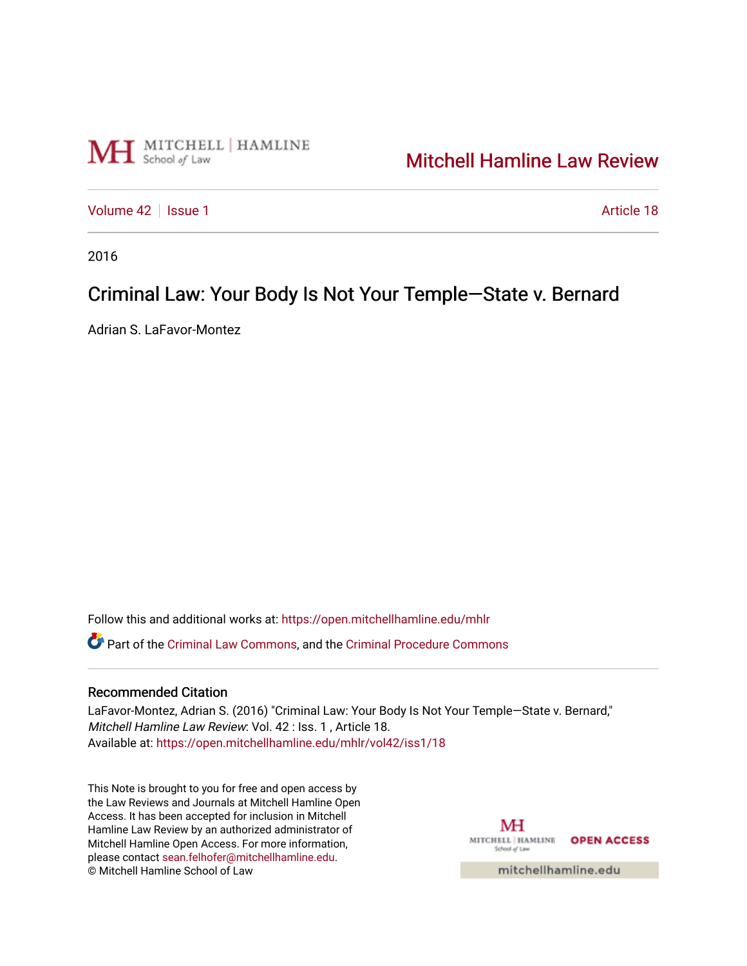

# [Mitchell Hamline Law Review](https://open.mitchellhamline.edu/mhlr)

[Volume 42](https://open.mitchellhamline.edu/mhlr/vol42) | [Issue 1](https://open.mitchellhamline.edu/mhlr/vol42/iss1) Article 18

2016

# Criminal Law: Your Body Is Not Your Temple-State v. Bernard

Adrian S. LaFavor-Montez

Follow this and additional works at: [https://open.mitchellhamline.edu/mhlr](https://open.mitchellhamline.edu/mhlr?utm_source=open.mitchellhamline.edu%2Fmhlr%2Fvol42%2Fiss1%2F18&utm_medium=PDF&utm_campaign=PDFCoverPages) 

Part of the [Criminal Law Commons,](http://network.bepress.com/hgg/discipline/912?utm_source=open.mitchellhamline.edu%2Fmhlr%2Fvol42%2Fiss1%2F18&utm_medium=PDF&utm_campaign=PDFCoverPages) and the [Criminal Procedure Commons](http://network.bepress.com/hgg/discipline/1073?utm_source=open.mitchellhamline.edu%2Fmhlr%2Fvol42%2Fiss1%2F18&utm_medium=PDF&utm_campaign=PDFCoverPages)

# Recommended Citation

LaFavor-Montez, Adrian S. (2016) "Criminal Law: Your Body Is Not Your Temple—State v. Bernard," Mitchell Hamline Law Review: Vol. 42 : Iss. 1 , Article 18. Available at: [https://open.mitchellhamline.edu/mhlr/vol42/iss1/18](https://open.mitchellhamline.edu/mhlr/vol42/iss1/18?utm_source=open.mitchellhamline.edu%2Fmhlr%2Fvol42%2Fiss1%2F18&utm_medium=PDF&utm_campaign=PDFCoverPages)

This Note is brought to you for free and open access by the Law Reviews and Journals at Mitchell Hamline Open Access. It has been accepted for inclusion in Mitchell Hamline Law Review by an authorized administrator of Mitchell Hamline Open Access. For more information, please contact [sean.felhofer@mitchellhamline.edu.](mailto:sean.felhofer@mitchellhamline.edu) © Mitchell Hamline School of Law

МH MITCHELL | HAMLINE OPEN ACCESS School of Law

mitchellhamline.edu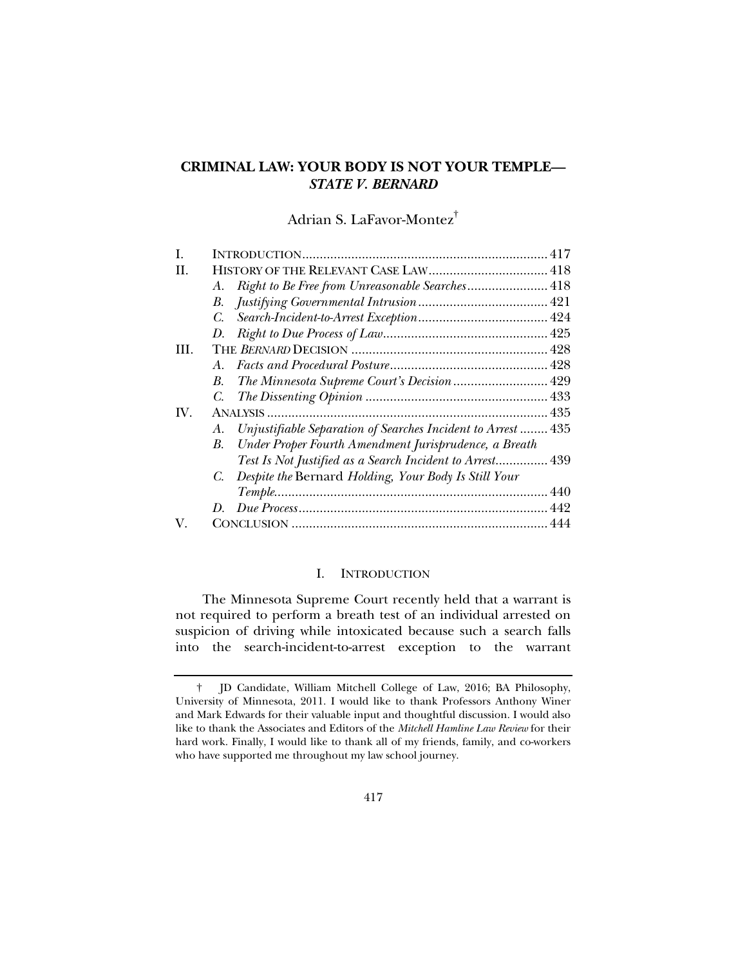# **CRIMINAL LAW: YOUR BODY IS NOT YOUR TEMPLE—** *STATE V. BERNARD*

# Adrian S. LaFavor-Montez†

| L   |                                                                   |
|-----|-------------------------------------------------------------------|
| H.  |                                                                   |
|     | Right to Be Free from Unreasonable Searches 418<br>A.             |
|     | В.                                                                |
|     | C.                                                                |
|     | D.                                                                |
| HI. |                                                                   |
|     | $A_{-}$                                                           |
|     | The Minnesota Supreme Court's Decision  429<br>В.                 |
|     | C.                                                                |
| IV. |                                                                   |
|     | Unjustifiable Separation of Searches Incident to Arrest 435<br>А. |
|     | Under Proper Fourth Amendment Jurisprudence, a Breath<br>B.       |
|     | Test Is Not Justified as a Search Incident to Arrest 439          |
|     | Despite the Bernard Holding, Your Body Is Still Your<br>C.        |
|     |                                                                   |
|     | D.                                                                |
| V.  |                                                                   |

### I. INTRODUCTION

The Minnesota Supreme Court recently held that a warrant is not required to perform a breath test of an individual arrested on suspicion of driving while intoxicated because such a search falls into the search-incident-to-arrest exception to the warrant

 <sup>†</sup> JD Candidate, William Mitchell College of Law, 2016; BA Philosophy, University of Minnesota, 2011. I would like to thank Professors Anthony Winer and Mark Edwards for their valuable input and thoughtful discussion. I would also like to thank the Associates and Editors of the *Mitchell Hamline Law Review* for their hard work. Finally, I would like to thank all of my friends, family, and co-workers who have supported me throughout my law school journey.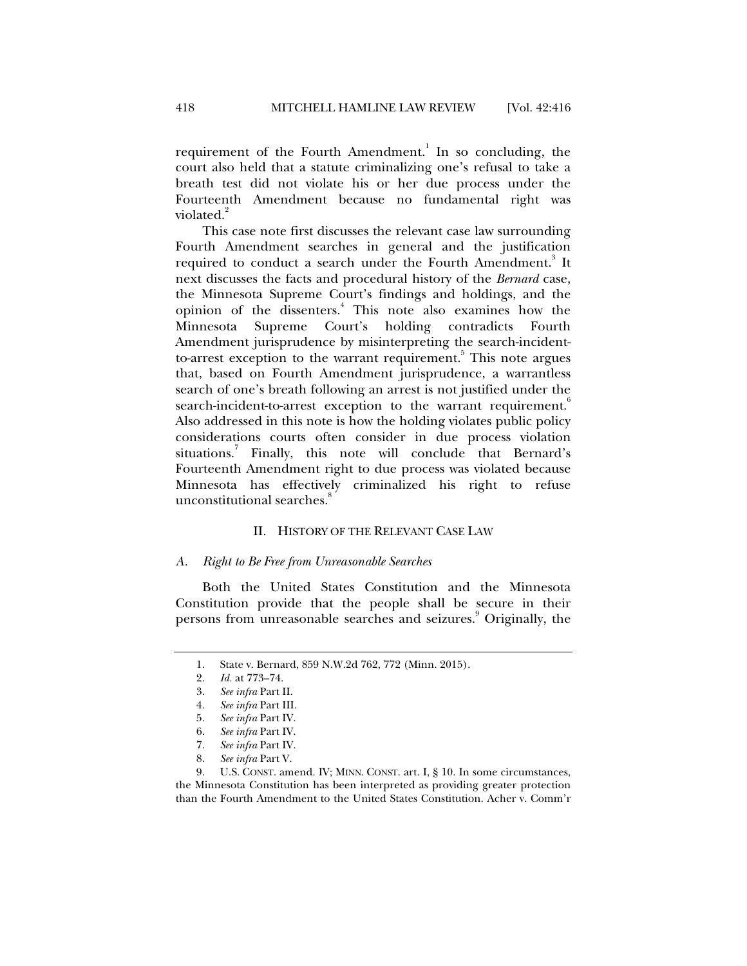requirement of the Fourth Amendment.<sup>1</sup> In so concluding, the court also held that a statute criminalizing one's refusal to take a breath test did not violate his or her due process under the Fourteenth Amendment because no fundamental right was violated.<sup>2</sup>

This case note first discusses the relevant case law surrounding Fourth Amendment searches in general and the justification required to conduct a search under the Fourth Amendment.<sup>3</sup> It next discusses the facts and procedural history of the *Bernard* case, the Minnesota Supreme Court's findings and holdings, and the opinion of the dissenters.<sup>4</sup> This note also examines how the Minnesota Supreme Court's holding contradicts Fourth Amendment jurisprudence by misinterpreting the search-incidentto-arrest exception to the warrant requirement.<sup>5</sup> This note argues that, based on Fourth Amendment jurisprudence, a warrantless search of one's breath following an arrest is not justified under the search-incident-to-arrest exception to the warrant requirement.<sup>6</sup> Also addressed in this note is how the holding violates public policy considerations courts often consider in due process violation situations.<sup>7</sup> Finally, this note will conclude that Bernard's Fourteenth Amendment right to due process was violated because Minnesota has effectively criminalized his right to refuse unconstitutional searches.<sup>8</sup>

### II. HISTORY OF THE RELEVANT CASE LAW

#### *A. Right to Be Free from Unreasonable Searches*

Both the United States Constitution and the Minnesota Constitution provide that the people shall be secure in their persons from unreasonable searches and seizures.<sup>9</sup> Originally, the

<sup>1.</sup> State v. Bernard, 859 N.W.2d 762, 772 (Minn. 2015).<br>2. Id. at 773–74.

 <sup>2.</sup> *Id.* at 773–74.

 <sup>3.</sup> *See infra* Part II.

 <sup>4.</sup> *See infra* Part III.

 <sup>5.</sup> *See infra* Part IV.

 <sup>6.</sup> *See infra* Part IV.

 <sup>7.</sup> *See infra* Part IV.

 <sup>8.</sup> *See infra* Part V.

 <sup>9.</sup> U.S. CONST. amend. IV; MINN. CONST. art. I, § 10. In some circumstances, the Minnesota Constitution has been interpreted as providing greater protection than the Fourth Amendment to the United States Constitution. Acher v. Comm'r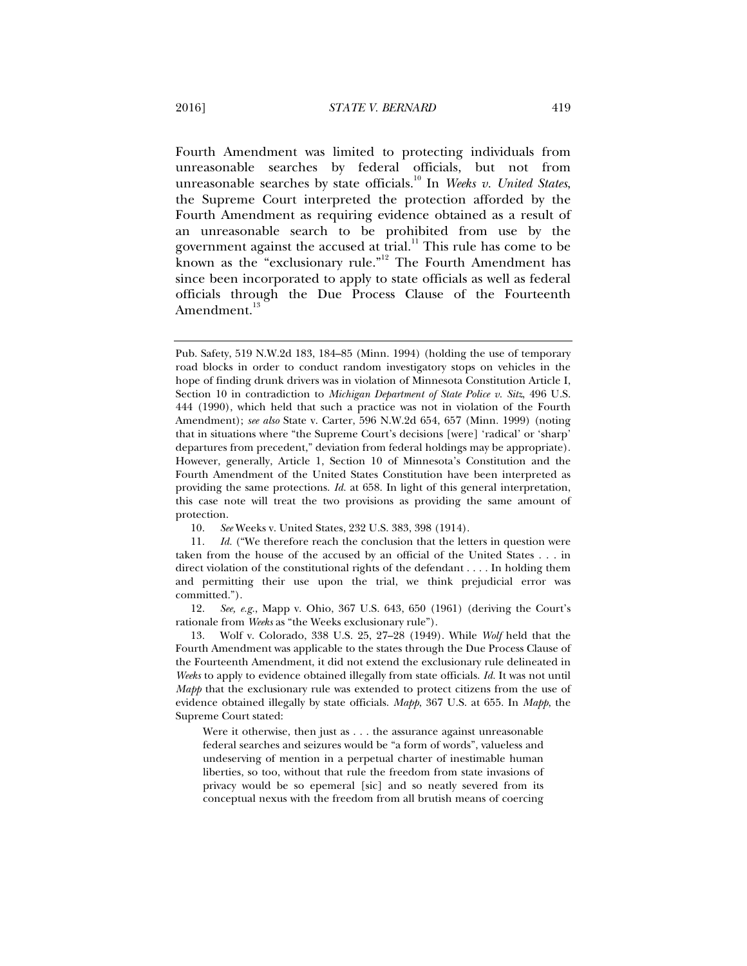Fourth Amendment was limited to protecting individuals from unreasonable searches by federal officials, but not from unreasonable searches by state officials.<sup>10</sup> In *Weeks v. United States*, the Supreme Court interpreted the protection afforded by the Fourth Amendment as requiring evidence obtained as a result of an unreasonable search to be prohibited from use by the government against the accused at trial. $11$  This rule has come to be known as the "exclusionary rule."<sup>12</sup> The Fourth Amendment has since been incorporated to apply to state officials as well as federal officials through the Due Process Clause of the Fourteenth Amendment.<sup>1</sup>

Pub. Safety, 519 N.W.2d 183, 184–85 (Minn. 1994) (holding the use of temporary road blocks in order to conduct random investigatory stops on vehicles in the hope of finding drunk drivers was in violation of Minnesota Constitution Article I, Section 10 in contradiction to *Michigan Department of State Police v. Sitz*, 496 U.S. 444 (1990), which held that such a practice was not in violation of the Fourth Amendment); *see also* State v. Carter, 596 N.W.2d 654, 657 (Minn. 1999) (noting that in situations where "the Supreme Court's decisions [were] 'radical' or 'sharp' departures from precedent," deviation from federal holdings may be appropriate). However, generally, Article 1, Section 10 of Minnesota's Constitution and the Fourth Amendment of the United States Constitution have been interpreted as providing the same protections. *Id.* at 658. In light of this general interpretation, this case note will treat the two provisions as providing the same amount of protection.

 <sup>10.</sup> *See* Weeks v. United States, 232 U.S. 383, 398 (1914).

 <sup>11.</sup> *Id.* ("We therefore reach the conclusion that the letters in question were taken from the house of the accused by an official of the United States . . . in direct violation of the constitutional rights of the defendant . . . . In holding them and permitting their use upon the trial, we think prejudicial error was committed.").

 <sup>12.</sup> *See, e.g.*, Mapp v. Ohio, 367 U.S. 643, 650 (1961) (deriving the Court's rationale from *Weeks* as "the Weeks exclusionary rule").

 <sup>13.</sup> Wolf v. Colorado, 338 U.S. 25, 27–28 (1949). While *Wolf* held that the Fourth Amendment was applicable to the states through the Due Process Clause of the Fourteenth Amendment, it did not extend the exclusionary rule delineated in *Weeks* to apply to evidence obtained illegally from state officials. *Id.* It was not until *Mapp* that the exclusionary rule was extended to protect citizens from the use of evidence obtained illegally by state officials. *Mapp*, 367 U.S. at 655. In *Mapp*, the Supreme Court stated:

Were it otherwise, then just as . . . the assurance against unreasonable federal searches and seizures would be "a form of words", valueless and undeserving of mention in a perpetual charter of inestimable human liberties, so too, without that rule the freedom from state invasions of privacy would be so epemeral [sic] and so neatly severed from its conceptual nexus with the freedom from all brutish means of coercing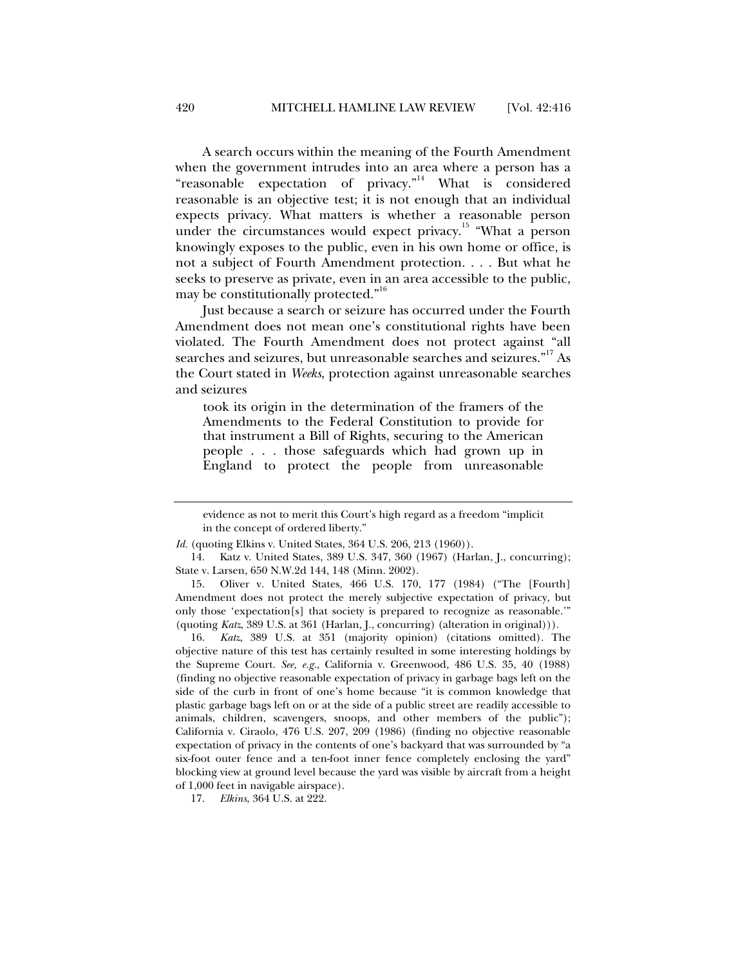A search occurs within the meaning of the Fourth Amendment when the government intrudes into an area where a person has a "reasonable expectation of privacy."<sup>14</sup> What is considered reasonable is an objective test; it is not enough that an individual expects privacy. What matters is whether a reasonable person under the circumstances would expect privacy.<sup>15</sup> "What a person knowingly exposes to the public, even in his own home or office, is not a subject of Fourth Amendment protection. . . . But what he seeks to preserve as private, even in an area accessible to the public, may be constitutionally protected."<sup>16</sup>

Just because a search or seizure has occurred under the Fourth Amendment does not mean one's constitutional rights have been violated. The Fourth Amendment does not protect against "all searches and seizures, but unreasonable searches and seizures."<sup>17</sup> As the Court stated in *Weeks*, protection against unreasonable searches and seizures

took its origin in the determination of the framers of the Amendments to the Federal Constitution to provide for that instrument a Bill of Rights, securing to the American people . . . those safeguards which had grown up in England to protect the people from unreasonable

 15. Oliver v. United States, 466 U.S. 170, 177 (1984) ("The [Fourth] Amendment does not protect the merely subjective expectation of privacy, but only those 'expectation[s] that society is prepared to recognize as reasonable.'" (quoting *Katz*, 389 U.S. at 361 (Harlan, J., concurring) (alteration in original))).

 16. *Katz*, 389 U.S. at 351 (majority opinion) (citations omitted). The objective nature of this test has certainly resulted in some interesting holdings by the Supreme Court. *See, e.g.*, California v. Greenwood, 486 U.S. 35, 40 (1988) (finding no objective reasonable expectation of privacy in garbage bags left on the side of the curb in front of one's home because "it is common knowledge that plastic garbage bags left on or at the side of a public street are readily accessible to animals, children, scavengers, snoops, and other members of the public"); California v. Ciraolo, 476 U.S. 207, 209 (1986) (finding no objective reasonable expectation of privacy in the contents of one's backyard that was surrounded by "a six-foot outer fence and a ten-foot inner fence completely enclosing the yard" blocking view at ground level because the yard was visible by aircraft from a height of 1,000 feet in navigable airspace).

17. *Elkins*, 364 U.S. at 222.

evidence as not to merit this Court's high regard as a freedom "implicit in the concept of ordered liberty."

*Id.* (quoting Elkins v. United States, 364 U.S. 206, 213 (1960)).

 <sup>14.</sup> Katz v. United States, 389 U.S. 347, 360 (1967) (Harlan, J., concurring); State v. Larsen, 650 N.W.2d 144, 148 (Minn. 2002).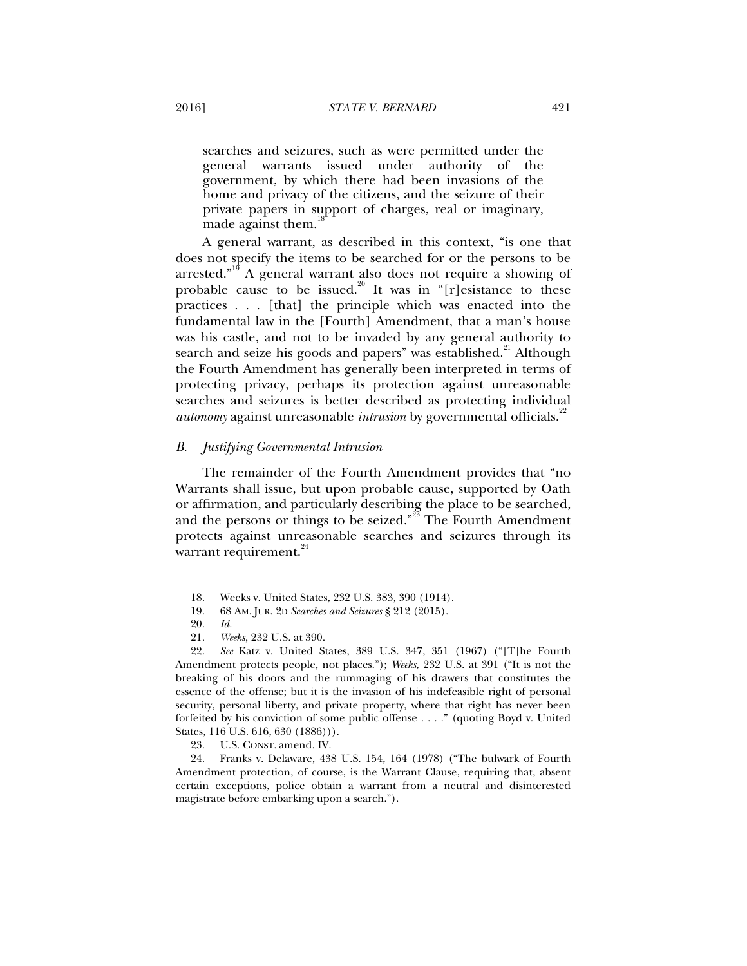searches and seizures, such as were permitted under the general warrants issued under authority of the government, by which there had been invasions of the home and privacy of the citizens, and the seizure of their private papers in support of charges, real or imaginary, made against them.

A general warrant, as described in this context, "is one that does not specify the items to be searched for or the persons to be arrested."<sup>19</sup> A general warrant also does not require a showing of probable cause to be issued.<sup>20</sup> It was in "[r]esistance to these practices . . . [that] the principle which was enacted into the fundamental law in the [Fourth] Amendment, that a man's house was his castle, and not to be invaded by any general authority to search and seize his goods and papers" was established.<sup>21</sup> Although the Fourth Amendment has generally been interpreted in terms of protecting privacy, perhaps its protection against unreasonable searches and seizures is better described as protecting individual *autonomy* against unreasonable *intrusion* by governmental officials.<sup>22</sup>

#### *B. Justifying Governmental Intrusion*

The remainder of the Fourth Amendment provides that "no Warrants shall issue, but upon probable cause, supported by Oath or affirmation, and particularly describing the place to be searched, and the persons or things to be seized. $3^{23}$  The Fourth Amendment protects against unreasonable searches and seizures through its warrant requirement.<sup>24</sup>

 <sup>18.</sup> Weeks v. United States, 232 U.S. 383, 390 (1914).

 <sup>19. 68</sup> AM. JUR. 2D *Searches and Seizures* § 212 (2015).

 <sup>20.</sup> *Id.*

 <sup>21.</sup> *Weeks*, 232 U.S. at 390.

 <sup>22.</sup> *See* Katz v. United States, 389 U.S. 347, 351 (1967) ("[T]he Fourth Amendment protects people, not places."); *Weeks*, 232 U.S. at 391 ("It is not the breaking of his doors and the rummaging of his drawers that constitutes the essence of the offense; but it is the invasion of his indefeasible right of personal security, personal liberty, and private property, where that right has never been forfeited by his conviction of some public offense . . . ." (quoting Boyd v. United States, 116 U.S. 616, 630 (1886))).

 <sup>23.</sup> U.S. CONST. amend. IV.

 <sup>24.</sup> Franks v. Delaware, 438 U.S. 154, 164 (1978) ("The bulwark of Fourth Amendment protection, of course, is the Warrant Clause, requiring that, absent certain exceptions, police obtain a warrant from a neutral and disinterested magistrate before embarking upon a search.").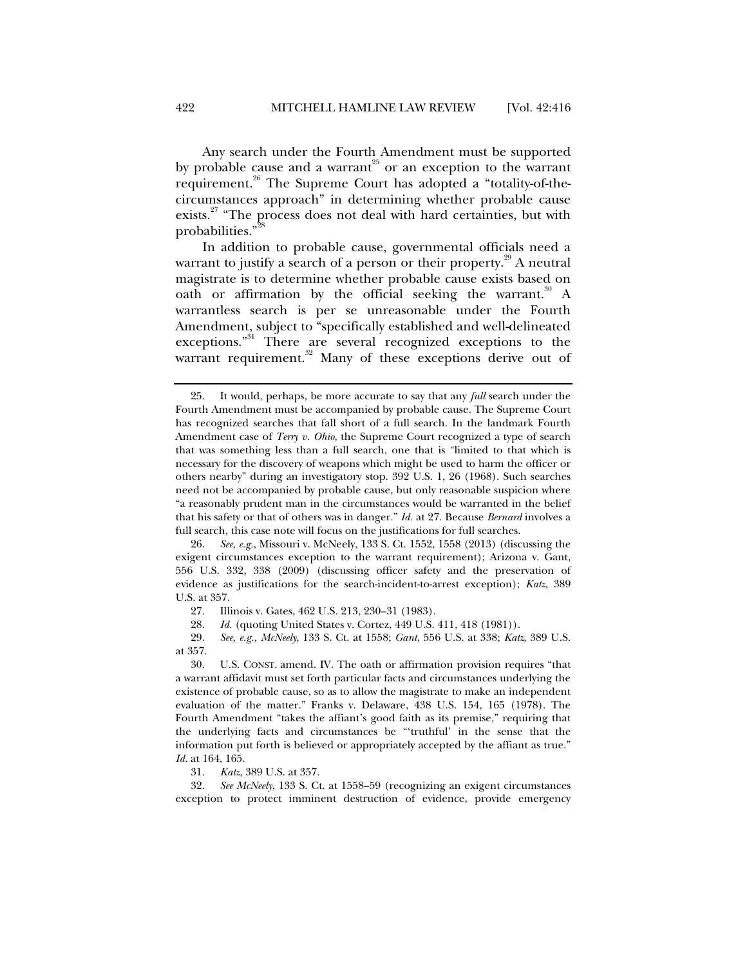Any search under the Fourth Amendment must be supported by probable cause and a warrant<sup>25</sup> or an exception to the warrant requirement.<sup>26</sup> The Supreme Court has adopted a "totality-of-thecircumstances approach" in determining whether probable cause exists.<sup>27</sup> "The process does not deal with hard certainties, but with probabilities."

In addition to probable cause, governmental officials need a warrant to justify a search of a person or their property.<sup>29</sup> A neutral magistrate is to determine whether probable cause exists based on oath or affirmation by the official seeking the warrant.<sup>30</sup> A warrantless search is per se unreasonable under the Fourth Amendment, subject to "specifically established and well-delineated exceptions."31 There are several recognized exceptions to the warrant requirement.<sup>32</sup> Many of these exceptions derive out of

31. *Katz*, 389 U.S. at 357.

 32. *See McNeely*, 133 S. Ct. at 1558–59 (recognizing an exigent circumstances exception to protect imminent destruction of evidence, provide emergency

 <sup>25.</sup> It would, perhaps, be more accurate to say that any *full* search under the Fourth Amendment must be accompanied by probable cause. The Supreme Court has recognized searches that fall short of a full search. In the landmark Fourth Amendment case of *Terry v. Ohio*, the Supreme Court recognized a type of search that was something less than a full search, one that is "limited to that which is necessary for the discovery of weapons which might be used to harm the officer or others nearby" during an investigatory stop. 392 U.S. 1, 26 (1968). Such searches need not be accompanied by probable cause, but only reasonable suspicion where "a reasonably prudent man in the circumstances would be warranted in the belief that his safety or that of others was in danger." *Id.* at 27. Because *Bernard* involves a full search, this case note will focus on the justifications for full searches.

 <sup>26.</sup> *See, e.g.*, Missouri v. McNeely, 133 S. Ct. 1552, 1558 (2013) (discussing the exigent circumstances exception to the warrant requirement); Arizona v. Gant, 556 U.S. 332, 338 (2009) (discussing officer safety and the preservation of evidence as justifications for the search-incident-to-arrest exception); *Katz*, 389 U.S. at 357.

 <sup>27.</sup> Illinois v. Gates, 462 U.S. 213, 230–31 (1983).

 <sup>28.</sup> *Id.* (quoting United States v. Cortez, 449 U.S. 411, 418 (1981)).

 <sup>29.</sup> *See, e.g.*, *McNeely*, 133 S. Ct. at 1558; *Gant*, 556 U.S. at 338; *Katz*, 389 U.S. at 357.

 <sup>30.</sup> U.S. CONST. amend. IV. The oath or affirmation provision requires "that a warrant affidavit must set forth particular facts and circumstances underlying the existence of probable cause, so as to allow the magistrate to make an independent evaluation of the matter." Franks v. Delaware, 438 U.S. 154, 165 (1978). The Fourth Amendment "takes the affiant's good faith as its premise," requiring that the underlying facts and circumstances be "'truthful' in the sense that the information put forth is believed or appropriately accepted by the affiant as true." *Id.* at 164, 165.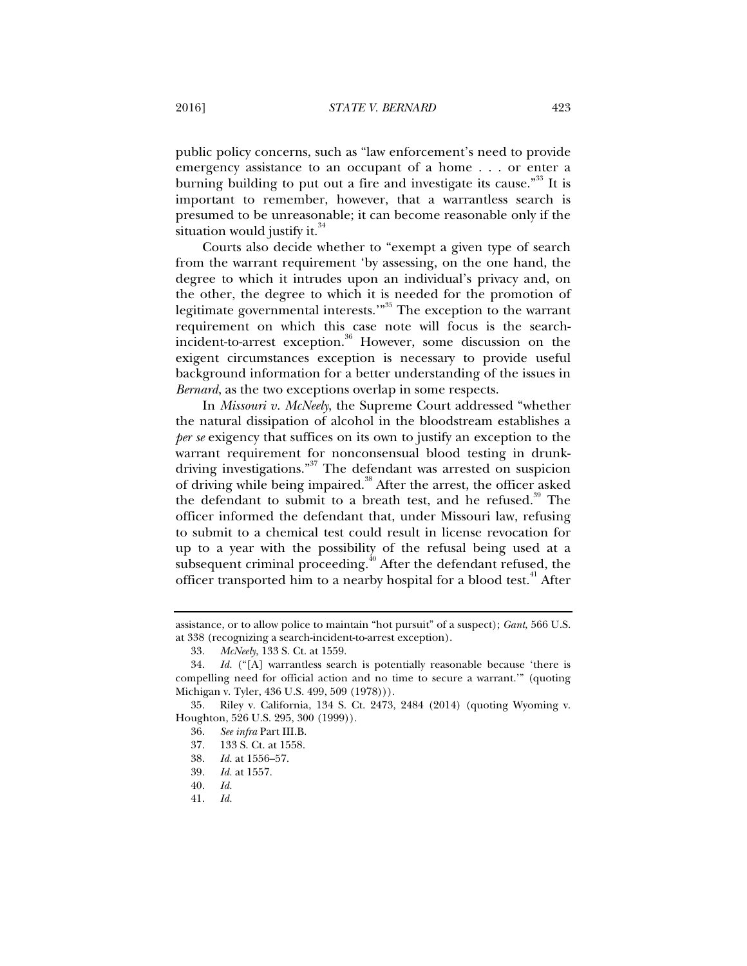public policy concerns, such as "law enforcement's need to provide emergency assistance to an occupant of a home . . . or enter a burning building to put out a fire and investigate its cause."<sup>33</sup> It is important to remember, however, that a warrantless search is presumed to be unreasonable; it can become reasonable only if the situation would justify it. $34$ 

Courts also decide whether to "exempt a given type of search from the warrant requirement 'by assessing, on the one hand, the degree to which it intrudes upon an individual's privacy and, on the other, the degree to which it is needed for the promotion of legitimate governmental interests."<sup>35</sup> The exception to the warrant requirement on which this case note will focus is the searchincident-to-arrest exception.<sup>36</sup> However, some discussion on the exigent circumstances exception is necessary to provide useful background information for a better understanding of the issues in *Bernard*, as the two exceptions overlap in some respects.

In *Missouri v. McNeely*, the Supreme Court addressed "whether the natural dissipation of alcohol in the bloodstream establishes a *per se* exigency that suffices on its own to justify an exception to the warrant requirement for nonconsensual blood testing in drunkdriving investigations."<sup>37</sup> The defendant was arrested on suspicion of driving while being impaired.<sup>38</sup> After the arrest, the officer asked the defendant to submit to a breath test, and he refused.<sup>39</sup> The officer informed the defendant that, under Missouri law, refusing to submit to a chemical test could result in license revocation for up to a year with the possibility of the refusal being used at a subsequent criminal proceeding.<sup>40</sup> After the defendant refused, the officer transported him to a nearby hospital for a blood test.<sup>41</sup> After

38. *Id.* at 1556–57.

40. *Id.*

assistance, or to allow police to maintain "hot pursuit" of a suspect); *Gant*, 566 U.S. at 338 (recognizing a search-incident-to-arrest exception).

 <sup>33.</sup> *McNeely*, 133 S. Ct. at 1559.

 <sup>34.</sup> *Id.* ("[A] warrantless search is potentially reasonable because 'there is compelling need for official action and no time to secure a warrant.'" (quoting Michigan v. Tyler, 436 U.S. 499, 509 (1978))).

 <sup>35.</sup> Riley v. California, 134 S. Ct. 2473, 2484 (2014) (quoting Wyoming v. Houghton, 526 U.S. 295, 300 (1999)).

 <sup>36.</sup> *See infra* Part III.B.

 <sup>37. 133</sup> S. Ct. at 1558.

 <sup>39.</sup> *Id.* at 1557.

 <sup>41.</sup> *Id.*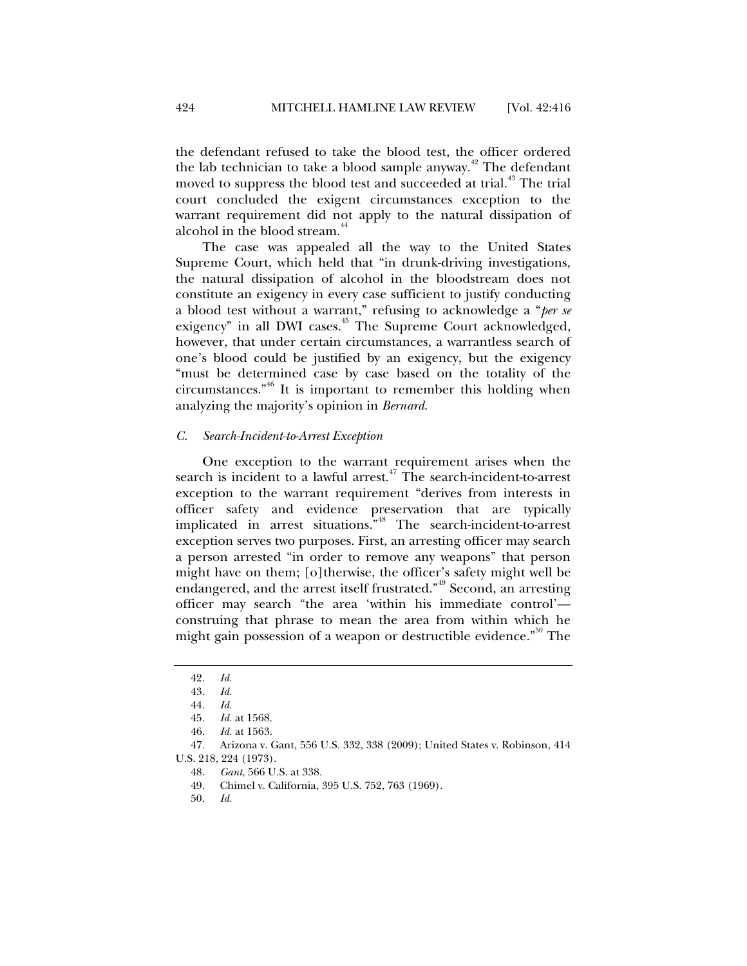the defendant refused to take the blood test, the officer ordered the lab technician to take a blood sample anyway.<sup> $42$ </sup> The defendant moved to suppress the blood test and succeeded at trial.<sup>43</sup> The trial court concluded the exigent circumstances exception to the warrant requirement did not apply to the natural dissipation of alcohol in the blood stream.<sup>44</sup>

The case was appealed all the way to the United States Supreme Court, which held that "in drunk-driving investigations, the natural dissipation of alcohol in the bloodstream does not constitute an exigency in every case sufficient to justify conducting a blood test without a warrant," refusing to acknowledge a "*per se* exigency" in all DWI cases.<sup>45</sup> The Supreme Court acknowledged, however, that under certain circumstances, a warrantless search of one's blood could be justified by an exigency, but the exigency "must be determined case by case based on the totality of the circumstances."46 It is important to remember this holding when analyzing the majority's opinion in *Bernard*.

#### *C. Search-Incident-to-Arrest Exception*

One exception to the warrant requirement arises when the search is incident to a lawful arrest.<sup>47</sup> The search-incident-to-arrest exception to the warrant requirement "derives from interests in officer safety and evidence preservation that are typically implicated in arrest situations."48 The search-incident-to-arrest exception serves two purposes. First, an arresting officer may search a person arrested "in order to remove any weapons" that person might have on them; [o]therwise, the officer's safety might well be endangered, and the arrest itself frustrated.<sup>"49</sup> Second, an arresting officer may search "the area 'within his immediate control' construing that phrase to mean the area from within which he might gain possession of a weapon or destructible evidence."<sup>50</sup> The

 <sup>42.</sup> *Id.*

 <sup>43.</sup> *Id.*

 <sup>44.</sup> *Id.*

 <sup>45.</sup> *Id.* at 1568.

 <sup>46.</sup> *Id.* at 1563.

 <sup>47.</sup> Arizona v. Gant, 556 U.S. 332, 338 (2009); United States v. Robinson, 414 U.S. 218, 224 (1973).

 <sup>48.</sup> *Gant*, 566 U.S. at 338.

 <sup>49.</sup> Chimel v. California, 395 U.S. 752, 763 (1969).

 <sup>50.</sup> *Id.*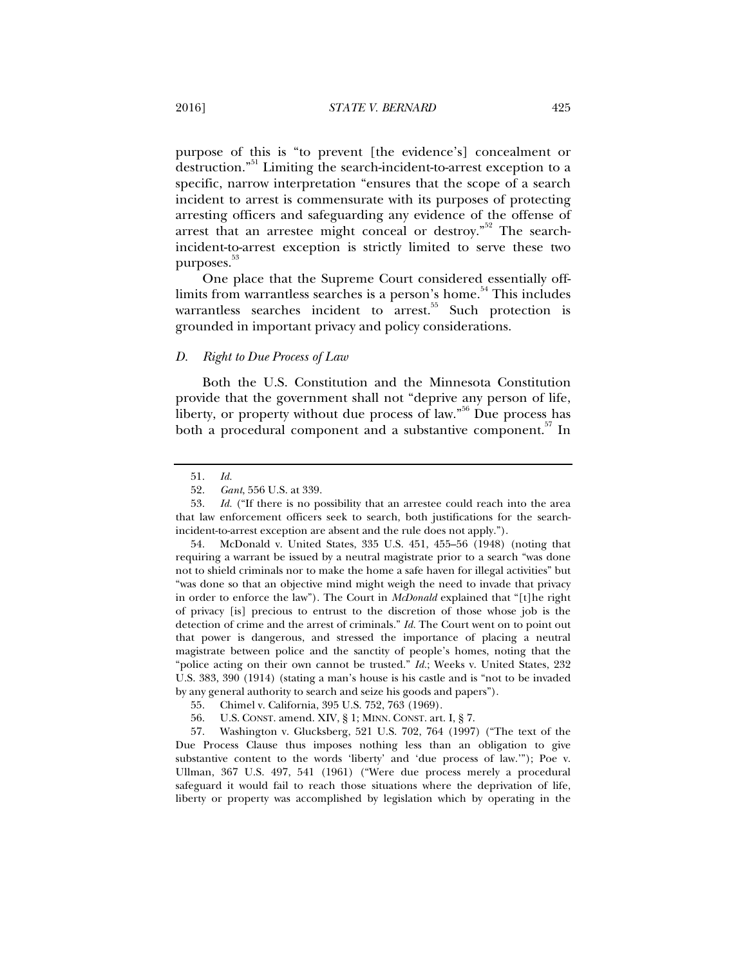purpose of this is "to prevent [the evidence's] concealment or destruction."<sup>51</sup> Limiting the search-incident-to-arrest exception to a specific, narrow interpretation "ensures that the scope of a search incident to arrest is commensurate with its purposes of protecting arresting officers and safeguarding any evidence of the offense of arrest that an arrestee might conceal or destroy."<sup>52</sup> The searchincident-to-arrest exception is strictly limited to serve these two purposes.<sup>53</sup>

One place that the Supreme Court considered essentially offlimits from warrantless searches is a person's home.<sup>54</sup> This includes warrantless searches incident to  $arrest$ .<sup>55</sup> Such protection is grounded in important privacy and policy considerations.

#### *D. Right to Due Process of Law*

Both the U.S. Constitution and the Minnesota Constitution provide that the government shall not "deprive any person of life, liberty, or property without due process of law.<sup>556</sup> Due process has both a procedural component and a substantive component.<sup>57</sup> In

 <sup>51.</sup> *Id.*

 <sup>52.</sup> *Gant*, 556 U.S. at 339.

 <sup>53.</sup> *Id.* ("If there is no possibility that an arrestee could reach into the area that law enforcement officers seek to search, both justifications for the searchincident-to-arrest exception are absent and the rule does not apply.").

 <sup>54.</sup> McDonald v. United States, 335 U.S. 451, 455–56 (1948) (noting that requiring a warrant be issued by a neutral magistrate prior to a search "was done not to shield criminals nor to make the home a safe haven for illegal activities" but "was done so that an objective mind might weigh the need to invade that privacy in order to enforce the law"). The Court in *McDonald* explained that "[t]he right of privacy [is] precious to entrust to the discretion of those whose job is the detection of crime and the arrest of criminals." *Id.* The Court went on to point out that power is dangerous, and stressed the importance of placing a neutral magistrate between police and the sanctity of people's homes, noting that the "police acting on their own cannot be trusted." *Id.*; Weeks v. United States, 232 U.S. 383, 390 (1914) (stating a man's house is his castle and is "not to be invaded by any general authority to search and seize his goods and papers").

 <sup>55.</sup> Chimel v. California, 395 U.S. 752, 763 (1969).

 <sup>56.</sup> U.S. CONST. amend. XIV, § 1; MINN. CONST. art. I, § 7.

 <sup>57.</sup> Washington v. Glucksberg, 521 U.S. 702, 764 (1997) ("The text of the Due Process Clause thus imposes nothing less than an obligation to give substantive content to the words 'liberty' and 'due process of law.'"); Poe v. Ullman, 367 U.S. 497, 541 (1961) ("Were due process merely a procedural safeguard it would fail to reach those situations where the deprivation of life, liberty or property was accomplished by legislation which by operating in the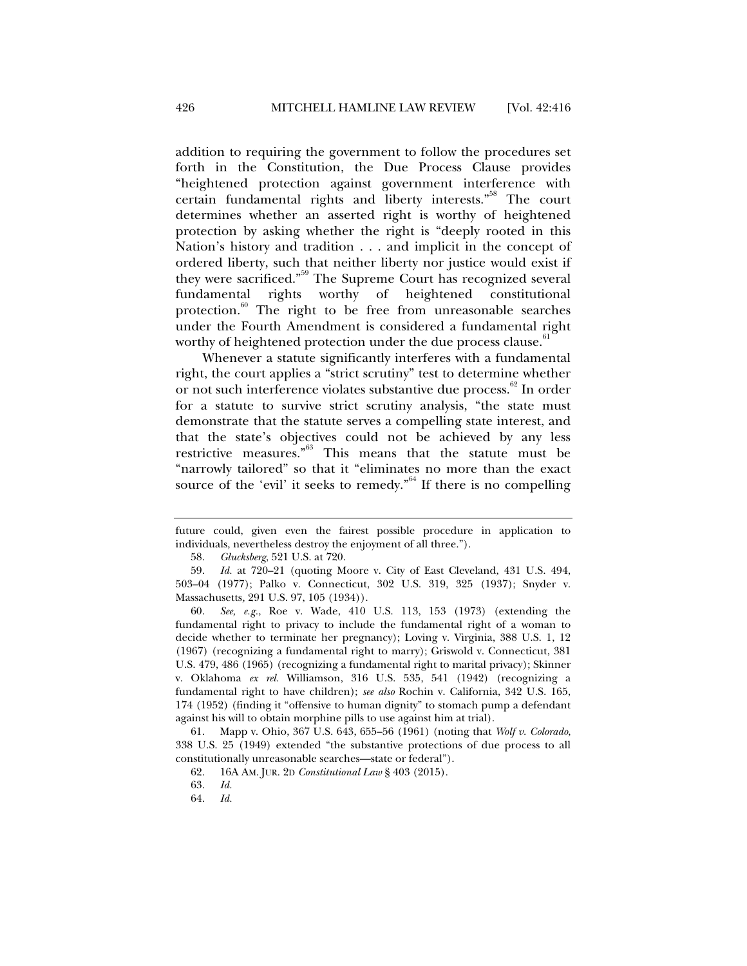addition to requiring the government to follow the procedures set forth in the Constitution, the Due Process Clause provides "heightened protection against government interference with certain fundamental rights and liberty interests."<sup>58</sup> The court determines whether an asserted right is worthy of heightened protection by asking whether the right is "deeply rooted in this Nation's history and tradition . . . and implicit in the concept of ordered liberty, such that neither liberty nor justice would exist if they were sacrificed."<sup>59</sup> The Supreme Court has recognized several fundamental rights worthy of heightened constitutional protection. $60$  The right to be free from unreasonable searches under the Fourth Amendment is considered a fundamental right worthy of heightened protection under the due process clause.<sup>61</sup>

Whenever a statute significantly interferes with a fundamental right, the court applies a "strict scrutiny" test to determine whether or not such interference violates substantive due process.<sup>62</sup> In order for a statute to survive strict scrutiny analysis, "the state must demonstrate that the statute serves a compelling state interest, and that the state's objectives could not be achieved by any less restrictive measures."63 This means that the statute must be "narrowly tailored" so that it "eliminates no more than the exact source of the 'evil' it seeks to remedy."<sup>64</sup> If there is no compelling

future could, given even the fairest possible procedure in application to individuals, nevertheless destroy the enjoyment of all three.").

 <sup>58.</sup> *Glucksberg*, 521 U.S. at 720.

 <sup>59.</sup> *Id.* at 720–21 (quoting Moore v. City of East Cleveland, 431 U.S. 494, 503–04 (1977); Palko v. Connecticut, 302 U.S. 319, 325 (1937); Snyder v. Massachusetts*,* 291 U.S. 97, 105 (1934)).

 <sup>60.</sup> *See, e.g.*, Roe v. Wade, 410 U.S. 113, 153 (1973) (extending the fundamental right to privacy to include the fundamental right of a woman to decide whether to terminate her pregnancy); Loving v. Virginia, 388 U.S. 1, 12 (1967) (recognizing a fundamental right to marry); Griswold v. Connecticut, 381 U.S. 479, 486 (1965) (recognizing a fundamental right to marital privacy); Skinner v. Oklahoma *ex rel.* Williamson, 316 U.S. 535, 541 (1942) (recognizing a fundamental right to have children); *see also* Rochin v. California, 342 U.S. 165, 174 (1952) (finding it "offensive to human dignity" to stomach pump a defendant against his will to obtain morphine pills to use against him at trial).

 <sup>61.</sup> Mapp v. Ohio, 367 U.S. 643, 655–56 (1961) (noting that *Wolf v. Colorado*, 338 U.S. 25 (1949) extended "the substantive protections of due process to all constitutionally unreasonable searches—state or federal").

 <sup>62. 16</sup>A AM. JUR. 2D *Constitutional Law* § 403 (2015).

 <sup>63.</sup> *Id.*

 <sup>64.</sup> *Id.*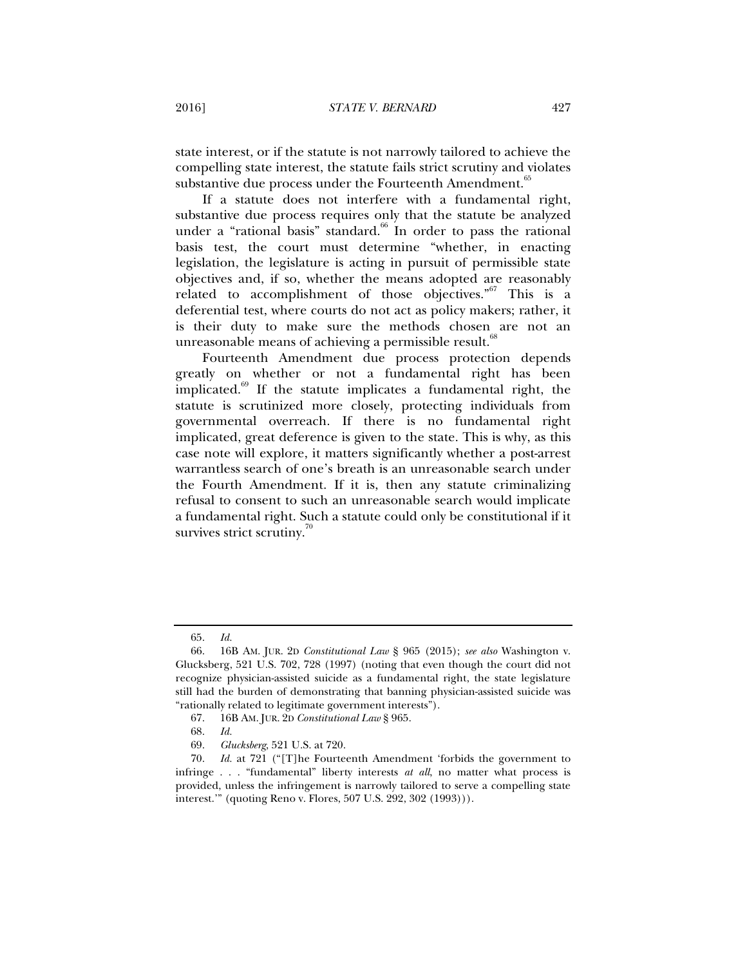state interest, or if the statute is not narrowly tailored to achieve the compelling state interest, the statute fails strict scrutiny and violates substantive due process under the Fourteenth Amendment.<sup>65</sup>

If a statute does not interfere with a fundamental right, substantive due process requires only that the statute be analyzed under a "rational basis" standard. $66$  In order to pass the rational basis test, the court must determine "whether, in enacting legislation, the legislature is acting in pursuit of permissible state objectives and, if so, whether the means adopted are reasonably related to accomplishment of those objectives." $67$  This is a deferential test, where courts do not act as policy makers; rather, it is their duty to make sure the methods chosen are not an unreasonable means of achieving a permissible result. $\frac{8}{5}$ 

Fourteenth Amendment due process protection depends greatly on whether or not a fundamental right has been implicated.<sup>69</sup> If the statute implicates a fundamental right, the statute is scrutinized more closely, protecting individuals from governmental overreach. If there is no fundamental right implicated, great deference is given to the state. This is why, as this case note will explore, it matters significantly whether a post-arrest warrantless search of one's breath is an unreasonable search under the Fourth Amendment. If it is, then any statute criminalizing refusal to consent to such an unreasonable search would implicate a fundamental right. Such a statute could only be constitutional if it survives strict scrutiny.<sup>70</sup>

 <sup>65.</sup> *Id.*

 <sup>66. 16</sup>B AM. JUR. 2D *Constitutional Law* § 965 (2015); *see also* Washington v. Glucksberg, 521 U.S. 702, 728 (1997) (noting that even though the court did not recognize physician-assisted suicide as a fundamental right, the state legislature still had the burden of demonstrating that banning physician-assisted suicide was "rationally related to legitimate government interests").

 <sup>67. 16</sup>B AM. JUR. 2D *Constitutional Law* § 965.

 <sup>68.</sup> *Id.*

 <sup>69.</sup> *Glucksberg*, 521 U.S. at 720.

 <sup>70.</sup> *Id.* at 721 ("[T]he Fourteenth Amendment 'forbids the government to infringe . . . "fundamental" liberty interests *at all*, no matter what process is provided, unless the infringement is narrowly tailored to serve a compelling state interest.'" (quoting Reno v. Flores, 507 U.S. 292, 302 (1993))).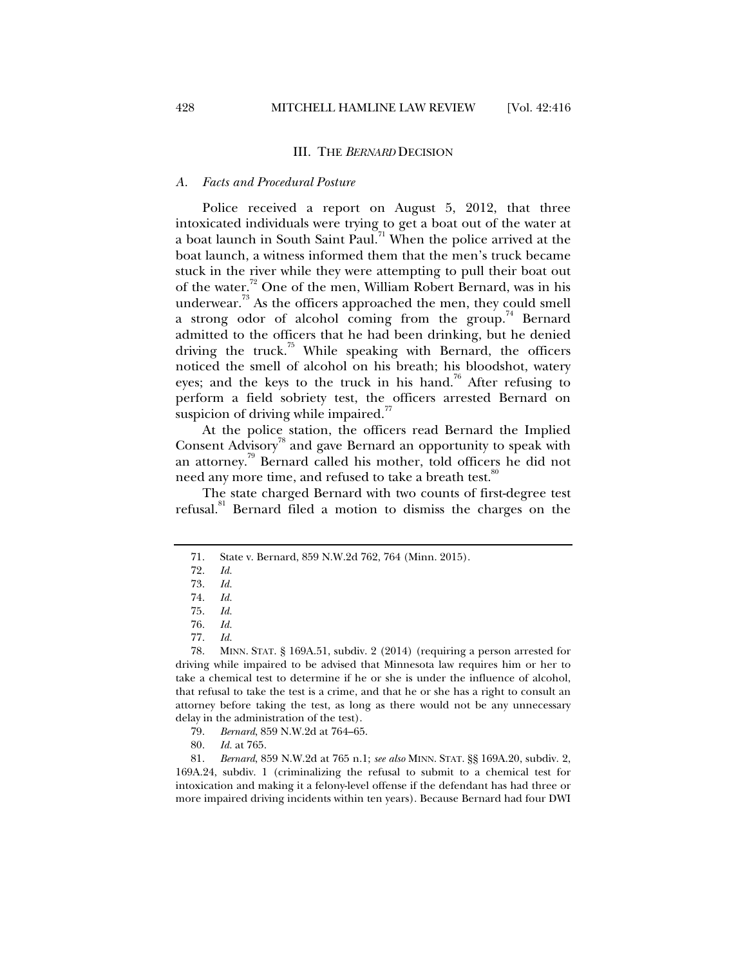#### III. THE *BERNARD* DECISION

#### *A. Facts and Procedural Posture*

Police received a report on August 5, 2012, that three intoxicated individuals were trying to get a boat out of the water at a boat launch in South Saint Paul.<sup>71</sup> When the police arrived at the boat launch, a witness informed them that the men's truck became stuck in the river while they were attempting to pull their boat out of the water.<sup>72</sup> One of the men, William Robert Bernard, was in his underwear. $^{73}$  As the officers approached the men, they could smell a strong odor of alcohol coming from the group.<sup>74</sup> Bernard admitted to the officers that he had been drinking, but he denied driving the truck.<sup>75</sup> While speaking with Bernard, the officers noticed the smell of alcohol on his breath; his bloodshot, watery eyes; and the keys to the truck in his hand.<sup>76</sup> After refusing to perform a field sobriety test, the officers arrested Bernard on suspicion of driving while impaired.<sup>77</sup>

At the police station, the officers read Bernard the Implied Consent Advisory<sup>78</sup> and gave Bernard an opportunity to speak with an attorney.79 Bernard called his mother, told officers he did not need any more time, and refused to take a breath test.<sup>80</sup>

The state charged Bernard with two counts of first-degree test refusal.<sup>81</sup> Bernard filed a motion to dismiss the charges on the

80. *Id.* at 765.

 81. *Bernard*, 859 N.W.2d at 765 n.1; *see also* MINN. STAT. §§ 169A.20, subdiv. 2, 169A.24, subdiv. 1 (criminalizing the refusal to submit to a chemical test for intoxication and making it a felony-level offense if the defendant has had three or more impaired driving incidents within ten years). Because Bernard had four DWI

 <sup>71.</sup> State v. Bernard, 859 N.W.2d 762, 764 (Minn. 2015).

 <sup>72.</sup> *Id.*

 <sup>73.</sup> *Id.*

 <sup>74.</sup> *Id.* 

 <sup>75.</sup> *Id.* 

 <sup>76.</sup> *Id.*

 <sup>77.</sup> *Id.*

 <sup>78.</sup> MINN. STAT. § 169A.51, subdiv. 2 (2014) (requiring a person arrested for driving while impaired to be advised that Minnesota law requires him or her to take a chemical test to determine if he or she is under the influence of alcohol, that refusal to take the test is a crime, and that he or she has a right to consult an attorney before taking the test, as long as there would not be any unnecessary delay in the administration of the test).

 <sup>79.</sup> *Bernard*, 859 N.W.2d at 764–65.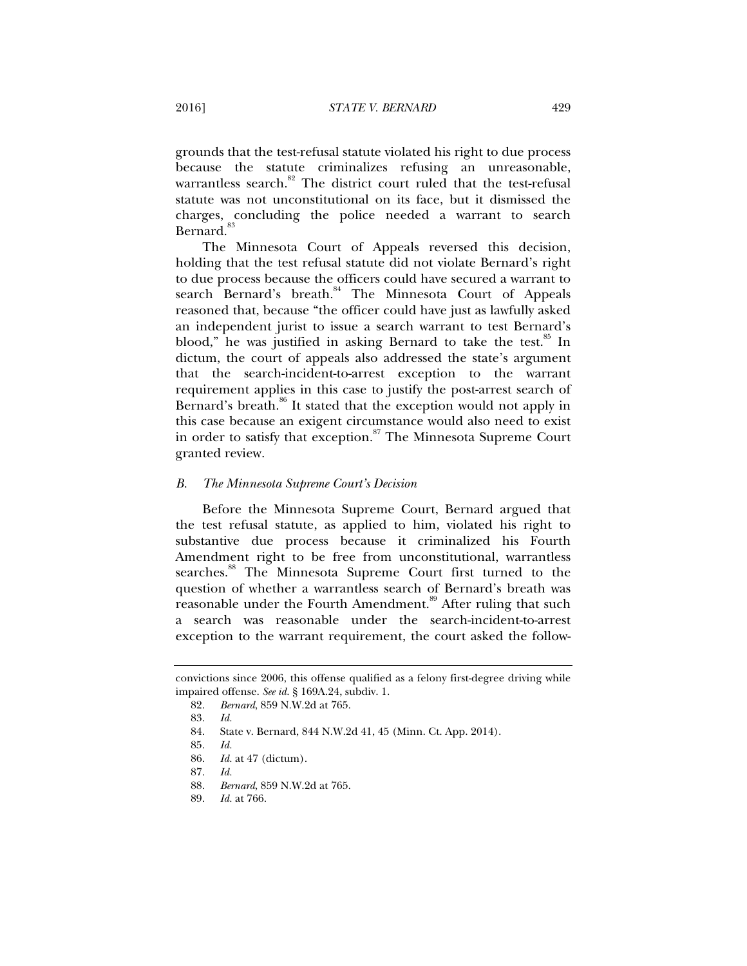grounds that the test-refusal statute violated his right to due process because the statute criminalizes refusing an unreasonable, warrantless search.<sup>82</sup> The district court ruled that the test-refusal statute was not unconstitutional on its face, but it dismissed the charges, concluding the police needed a warrant to search Bernard.<sup>83</sup>

The Minnesota Court of Appeals reversed this decision, holding that the test refusal statute did not violate Bernard's right to due process because the officers could have secured a warrant to search Bernard's breath.<sup>84</sup> The Minnesota Court of Appeals reasoned that, because "the officer could have just as lawfully asked an independent jurist to issue a search warrant to test Bernard's blood," he was justified in asking Bernard to take the test. $^{85}$  In dictum, the court of appeals also addressed the state's argument that the search-incident-to-arrest exception to the warrant requirement applies in this case to justify the post-arrest search of Bernard's breath.<sup>86</sup> It stated that the exception would not apply in this case because an exigent circumstance would also need to exist in order to satisfy that exception.<sup>87</sup> The Minnesota Supreme Court granted review.

#### *B. The Minnesota Supreme Court's Decision*

Before the Minnesota Supreme Court, Bernard argued that the test refusal statute, as applied to him, violated his right to substantive due process because it criminalized his Fourth Amendment right to be free from unconstitutional, warrantless searches.<sup>88</sup> The Minnesota Supreme Court first turned to the question of whether a warrantless search of Bernard's breath was reasonable under the Fourth Amendment.<sup>89</sup> After ruling that such a search was reasonable under the search-incident-to-arrest exception to the warrant requirement, the court asked the follow-

convictions since 2006, this offense qualified as a felony first-degree driving while impaired offense. *See id.* § 169A.24, subdiv. 1.

 <sup>82.</sup> *Bernard*, 859 N.W.2d at 765.

 <sup>83.</sup> *Id.*

 <sup>84.</sup> State v. Bernard, 844 N.W.2d 41, 45 (Minn. Ct. App. 2014).

 <sup>85.</sup> *Id.*

 <sup>86.</sup> *Id.* at 47 (dictum).

 <sup>87.</sup> *Id.*

 <sup>88.</sup> *Bernard*, 859 N.W.2d at 765.

 <sup>89.</sup> *Id.* at 766.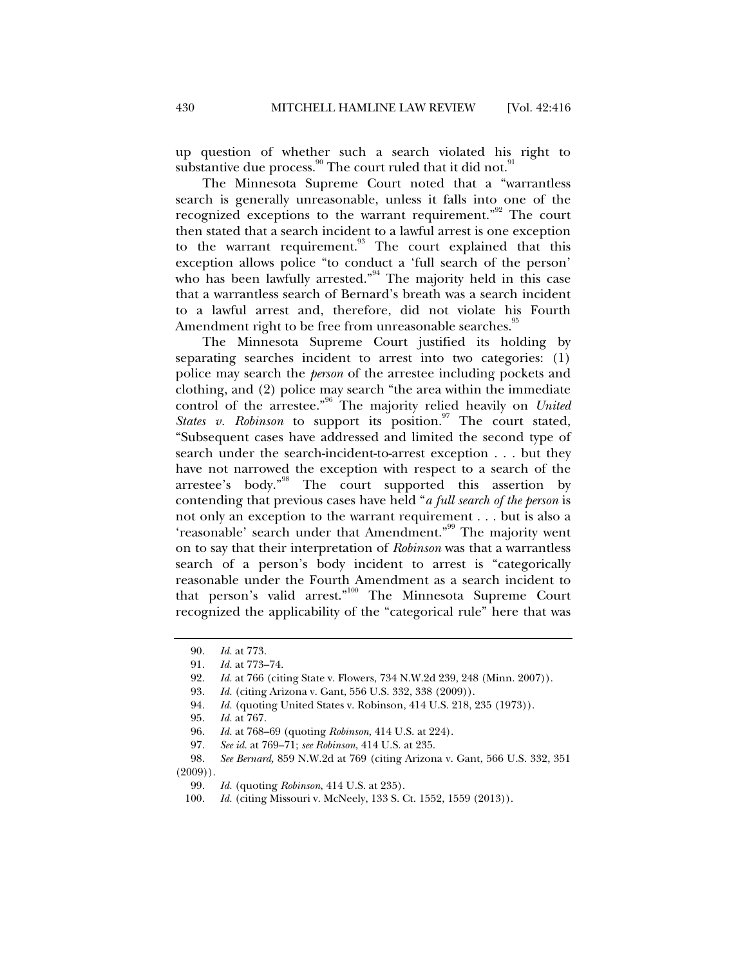up question of whether such a search violated his right to substantive due process. <sup>90</sup> The court ruled that it did not.<sup>9</sup>

The Minnesota Supreme Court noted that a "warrantless search is generally unreasonable, unless it falls into one of the recognized exceptions to the warrant requirement."<sup>92</sup> The court then stated that a search incident to a lawful arrest is one exception to the warrant requirement.<sup>93</sup> The court explained that this exception allows police "to conduct a 'full search of the person' who has been lawfully arrested."<sup>94</sup> The majority held in this case that a warrantless search of Bernard's breath was a search incident to a lawful arrest and, therefore, did not violate his Fourth Amendment right to be free from unreasonable searches.<sup>35</sup>

The Minnesota Supreme Court justified its holding by separating searches incident to arrest into two categories: (1) police may search the *person* of the arrestee including pockets and clothing, and (2) police may search "the area within the immediate control of the arrestee."<sup>96</sup> The majority relied heavily on *United* States v. Robinson to support its position.<sup>97</sup> The court stated, "Subsequent cases have addressed and limited the second type of search under the search-incident-to-arrest exception . . . but they have not narrowed the exception with respect to a search of the arrestee's body."98 The court supported this assertion by contending that previous cases have held "*a full search of the person* is not only an exception to the warrant requirement . . . but is also a 'reasonable' search under that Amendment."99 The majority went on to say that their interpretation of *Robinson* was that a warrantless search of a person's body incident to arrest is "categorically reasonable under the Fourth Amendment as a search incident to that person's valid arrest."<sup>100</sup> The Minnesota Supreme Court recognized the applicability of the "categorical rule" here that was

 <sup>90.</sup> *Id.* at 773.

 <sup>91.</sup> *Id.* at 773–74.

 <sup>92.</sup> *Id.* at 766 (citing State v. Flowers, 734 N.W.2d 239, 248 (Minn. 2007)).

 <sup>93.</sup> *Id.* (citing Arizona v. Gant, 556 U.S. 332, 338 (2009)).

 <sup>94.</sup> *Id.* (quoting United States v. Robinson, 414 U.S. 218, 235 (1973)).

 <sup>95.</sup> *Id.* at 767.

 <sup>96.</sup> *Id.* at 768–69 (quoting *Robinson*, 414 U.S. at 224).

 <sup>97.</sup> *See id.* at 769–71; *see Robinson*, 414 U.S. at 235.

 <sup>98.</sup> *See Bernard,* 859 N.W.2d at 769 (citing Arizona v. Gant, 566 U.S. 332, 351  $(2009)$ .

 <sup>99.</sup> *Id.* (quoting *Robinson*, 414 U.S. at 235).

 <sup>100.</sup> *Id.* (citing Missouri v. McNeely, 133 S. Ct. 1552, 1559 (2013)).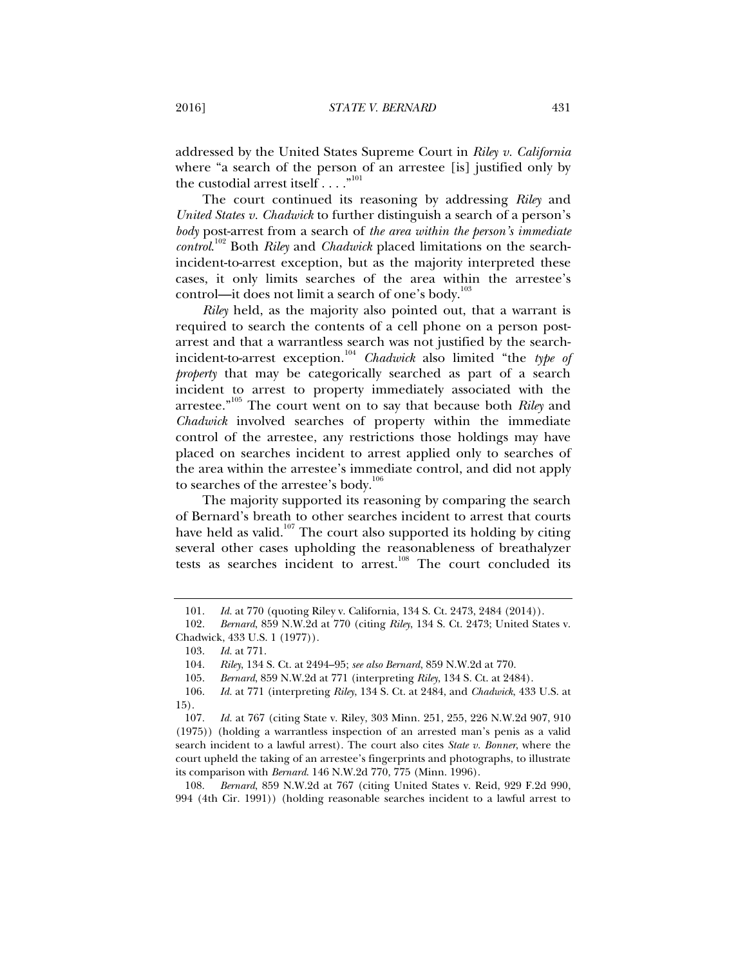addressed by the United States Supreme Court in *Riley v. California*  where "a search of the person of an arrestee [is] justified only by the custodial arrest itself  $\dots$ ."<sup>101</sup>

The court continued its reasoning by addressing *Riley* and *United States v. Chadwick* to further distinguish a search of a person's *body* post-arrest from a search of *the area within the person's immediate control*. 102 Both *Riley* and *Chadwick* placed limitations on the searchincident-to-arrest exception, but as the majority interpreted these cases, it only limits searches of the area within the arrestee's control—it does not limit a search of one's body. $103$ 

*Riley* held, as the majority also pointed out, that a warrant is required to search the contents of a cell phone on a person postarrest and that a warrantless search was not justified by the searchincident-to-arrest exception.<sup>104</sup> *Chadwick* also limited "the *type of property* that may be categorically searched as part of a search incident to arrest to property immediately associated with the arrestee."105 The court went on to say that because both *Riley* and *Chadwick* involved searches of property within the immediate control of the arrestee, any restrictions those holdings may have placed on searches incident to arrest applied only to searches of the area within the arrestee's immediate control, and did not apply to searches of the arrestee's body.<sup>106</sup>

The majority supported its reasoning by comparing the search of Bernard's breath to other searches incident to arrest that courts have held as valid. $107$  The court also supported its holding by citing several other cases upholding the reasonableness of breathalyzer tests as searches incident to arrest.<sup>108</sup> The court concluded its

 108. *Bernard*, 859 N.W.2d at 767 (citing United States v. Reid, 929 F.2d 990, 994 (4th Cir. 1991)) (holding reasonable searches incident to a lawful arrest to

 <sup>101.</sup> *Id.* at 770 (quoting Riley v. California, 134 S. Ct. 2473, 2484 (2014)).

 <sup>102.</sup> *Bernard*, 859 N.W.2d at 770 (citing *Riley*, 134 S. Ct. 2473; United States v. Chadwick, 433 U.S. 1 (1977)).

 <sup>103.</sup> *Id.* at 771.

 <sup>104.</sup> *Riley*, 134 S. Ct. at 2494–95; *see also Bernard*, 859 N.W.2d at 770.

 <sup>105.</sup> *Bernard*, 859 N.W.2d at 771 (interpreting *Riley*, 134 S. Ct. at 2484).

 <sup>106.</sup> *Id.* at 771 (interpreting *Riley*, 134 S. Ct. at 2484, and *Chadwick*, 433 U.S. at 15).

<sup>107</sup>*. Id.* at 767 (citing State v. Riley, 303 Minn. 251, 255, 226 N.W.2d 907, 910 (1975)) (holding a warrantless inspection of an arrested man's penis as a valid search incident to a lawful arrest). The court also cites *State v. Bonner*, where the court upheld the taking of an arrestee's fingerprints and photographs, to illustrate its comparison with *Bernard*. 146 N.W.2d 770, 775 (Minn. 1996).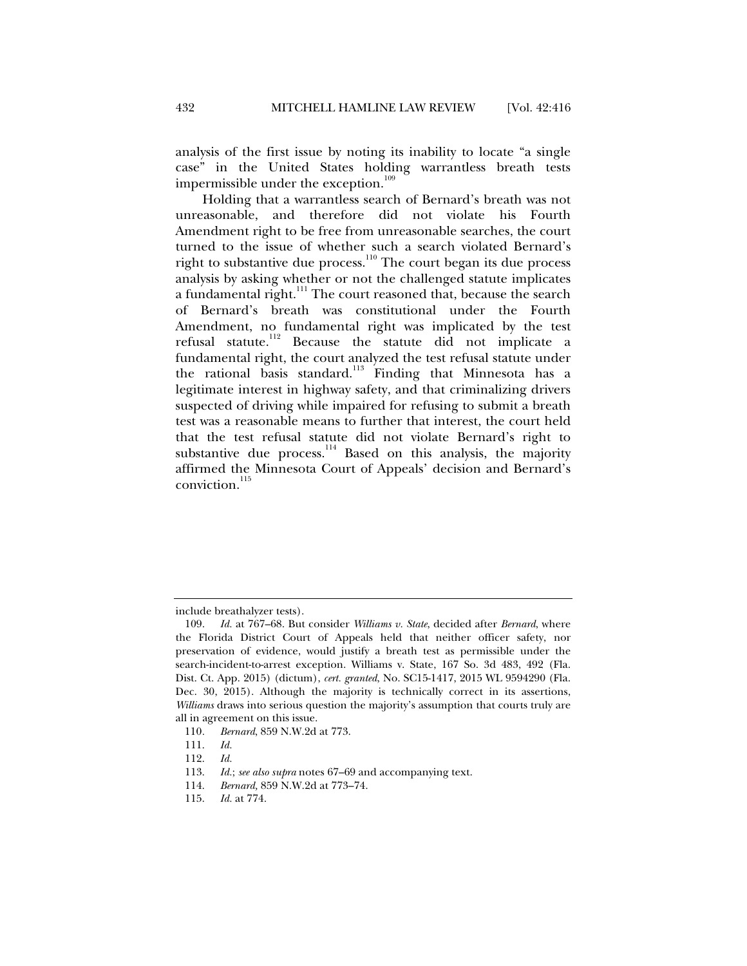analysis of the first issue by noting its inability to locate "a single case" in the United States holding warrantless breath tests impermissible under the exception.<sup>109</sup>

Holding that a warrantless search of Bernard's breath was not unreasonable, and therefore did not violate his Fourth Amendment right to be free from unreasonable searches, the court turned to the issue of whether such a search violated Bernard's right to substantive due process.<sup>110</sup> The court began its due process analysis by asking whether or not the challenged statute implicates a fundamental right.<sup>111</sup> The court reasoned that, because the search of Bernard's breath was constitutional under the Fourth Amendment, no fundamental right was implicated by the test refusal statute.112 Because the statute did not implicate a fundamental right, the court analyzed the test refusal statute under the rational basis standard.<sup>113</sup> Finding that Minnesota has a legitimate interest in highway safety, and that criminalizing drivers suspected of driving while impaired for refusing to submit a breath test was a reasonable means to further that interest, the court held that the test refusal statute did not violate Bernard's right to substantive due process.<sup>114</sup> Based on this analysis, the majority affirmed the Minnesota Court of Appeals' decision and Bernard's conviction.<sup>115</sup>

include breathalyzer tests).

 <sup>109.</sup> *Id.* at 767–68. But consider *Williams v. State*, decided after *Bernard*, where the Florida District Court of Appeals held that neither officer safety, nor preservation of evidence, would justify a breath test as permissible under the search-incident-to-arrest exception. Williams v. State, 167 So. 3d 483, 492 (Fla. Dist. Ct. App. 2015) (dictum), *cert. granted*, No. SC15-1417, 2015 WL 9594290 (Fla. Dec. 30, 2015). Although the majority is technically correct in its assertions, *Williams* draws into serious question the majority's assumption that courts truly are all in agreement on this issue.

<sup>110</sup>*. Bernard*, 859 N.W.2d at 773.

 <sup>111.</sup> *Id.*

 <sup>112.</sup> *Id.*

 <sup>113.</sup> *Id.*; *see also supra* notes 67–69 and accompanying text.

 <sup>114.</sup> *Bernard,* 859 N.W.2d at 773–74.

 <sup>115.</sup> *Id.* at 774.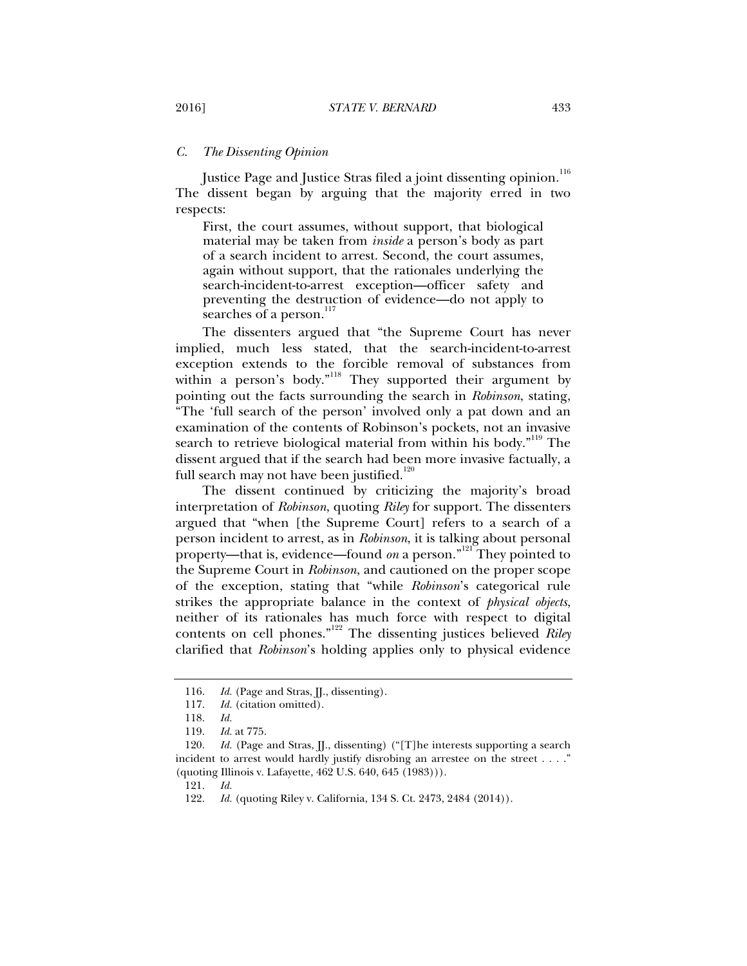#### *C. The Dissenting Opinion*

Justice Page and Justice Stras filed a joint dissenting opinion.<sup>116</sup> The dissent began by arguing that the majority erred in two respects:

First, the court assumes, without support, that biological material may be taken from *inside* a person's body as part of a search incident to arrest. Second, the court assumes, again without support, that the rationales underlying the search-incident-to-arrest exception—officer safety and preventing the destruction of evidence—do not apply to searches of a person.<sup>117</sup>

The dissenters argued that "the Supreme Court has never implied, much less stated, that the search-incident-to-arrest exception extends to the forcible removal of substances from within a person's body."<sup>118</sup> They supported their argument by pointing out the facts surrounding the search in *Robinson*, stating, "The 'full search of the person' involved only a pat down and an examination of the contents of Robinson's pockets, not an invasive search to retrieve biological material from within his body."<sup>119</sup> The dissent argued that if the search had been more invasive factually, a full search may not have been justified. $120$ 

The dissent continued by criticizing the majority's broad interpretation of *Robinson*, quoting *Riley* for support. The dissenters argued that "when [the Supreme Court] refers to a search of a person incident to arrest, as in *Robinson*, it is talking about personal property—that is, evidence—found *on* a person."<sup>121</sup> They pointed to the Supreme Court in *Robinson*, and cautioned on the proper scope of the exception, stating that "while *Robinson*'s categorical rule strikes the appropriate balance in the context of *physical objects*, neither of its rationales has much force with respect to digital contents on cell phones."122 The dissenting justices believed *Riley* clarified that *Robinson*'s holding applies only to physical evidence

121. *Id.*

<sup>116.</sup> *Id.* (Page and Stras, II., dissenting).

 <sup>117.</sup> *Id.* (citation omitted).

 <sup>118.</sup> *Id.*

 <sup>119.</sup> *Id.* at 775.

<sup>120.</sup> *Id.* (Page and Stras, JJ., dissenting) ("[T]he interests supporting a search incident to arrest would hardly justify disrobing an arrestee on the street . . . ." (quoting Illinois v. Lafayette, 462 U.S. 640, 645 (1983))).

 <sup>122.</sup> *Id.* (quoting Riley v. California, 134 S. Ct. 2473, 2484 (2014)).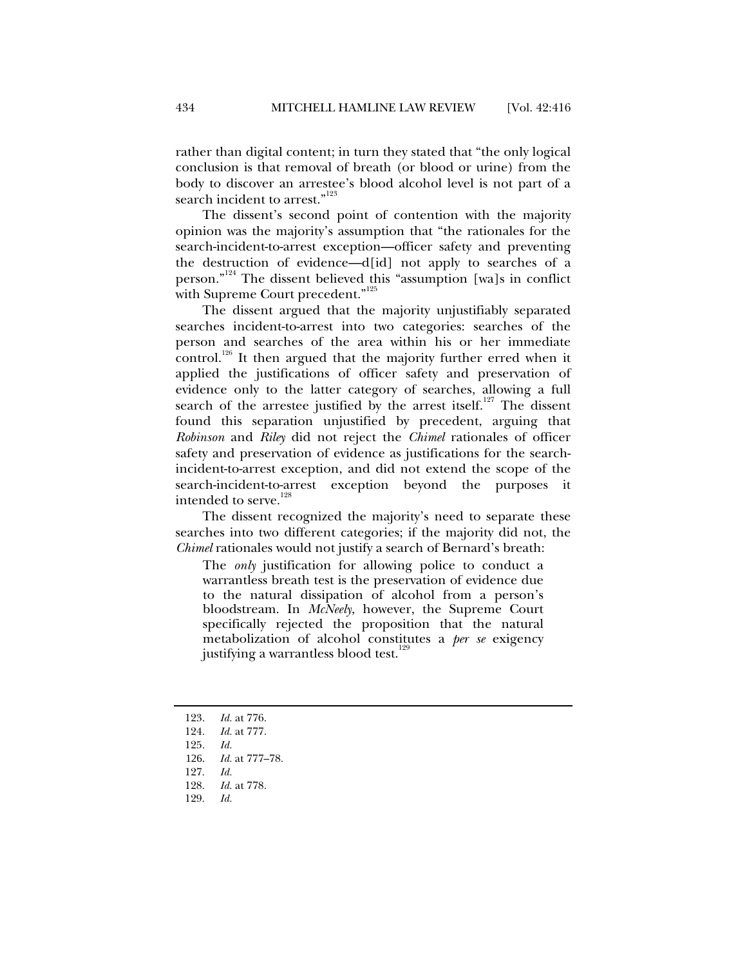rather than digital content; in turn they stated that "the only logical conclusion is that removal of breath (or blood or urine) from the body to discover an arrestee's blood alcohol level is not part of a search incident to arrest."<sup>123</sup>

The dissent's second point of contention with the majority opinion was the majority's assumption that "the rationales for the search-incident-to-arrest exception—officer safety and preventing the destruction of evidence—d[id] not apply to searches of a person."<sup>124</sup> The dissent believed this "assumption [wa]s in conflict with Supreme Court precedent."<sup>125</sup>

The dissent argued that the majority unjustifiably separated searches incident-to-arrest into two categories: searches of the person and searches of the area within his or her immediate control.<sup>126</sup> It then argued that the majority further erred when it applied the justifications of officer safety and preservation of evidence only to the latter category of searches, allowing a full search of the arrestee justified by the arrest itself.<sup>127</sup> The dissent found this separation unjustified by precedent, arguing that *Robinson* and *Riley* did not reject the *Chimel* rationales of officer safety and preservation of evidence as justifications for the searchincident-to-arrest exception, and did not extend the scope of the search-incident-to-arrest exception beyond the purposes it intended to serve.<sup>128</sup>

The dissent recognized the majority's need to separate these searches into two different categories; if the majority did not, the *Chimel* rationales would not justify a search of Bernard's breath:

The *only* justification for allowing police to conduct a warrantless breath test is the preservation of evidence due to the natural dissipation of alcohol from a person's bloodstream. In *McNeely*, however, the Supreme Court specifically rejected the proposition that the natural metabolization of alcohol constitutes a *per se* exigency justifying a warrantless blood test.<sup>129</sup>

- 123. *Id.* at 776.
- 124. *Id.* at 777.
- 125. *Id.*
- 126. *Id.* at 777–78.
- 127. *Id.*
- 128. *Id.* at 778.
- 129. *Id.*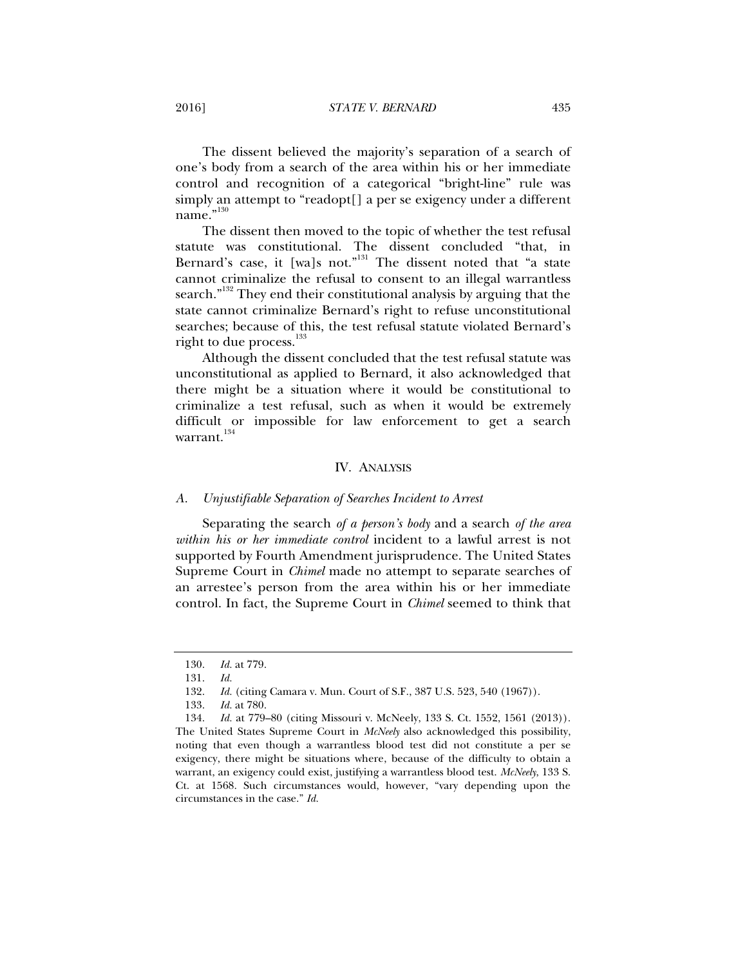The dissent believed the majority's separation of a search of one's body from a search of the area within his or her immediate control and recognition of a categorical "bright-line" rule was simply an attempt to "readopt[] a per se exigency under a different name."<sup>130</sup>

The dissent then moved to the topic of whether the test refusal statute was constitutional. The dissent concluded "that, in Bernard's case, it [wa]s not."<sup>131</sup> The dissent noted that "a state cannot criminalize the refusal to consent to an illegal warrantless search."<sup>132</sup> They end their constitutional analysis by arguing that the state cannot criminalize Bernard's right to refuse unconstitutional searches; because of this, the test refusal statute violated Bernard's right to due process.<sup>133</sup>

Although the dissent concluded that the test refusal statute was unconstitutional as applied to Bernard, it also acknowledged that there might be a situation where it would be constitutional to criminalize a test refusal, such as when it would be extremely difficult or impossible for law enforcement to get a search warrant.<sup>134</sup>

#### IV. ANALYSIS

#### *A. Unjustifiable Separation of Searches Incident to Arrest*

Separating the search *of a person's body* and a search *of the area within his or her immediate control* incident to a lawful arrest is not supported by Fourth Amendment jurisprudence. The United States Supreme Court in *Chimel* made no attempt to separate searches of an arrestee's person from the area within his or her immediate control. In fact, the Supreme Court in *Chimel* seemed to think that

 <sup>130.</sup> *Id.* at 779.

 <sup>131.</sup> *Id.*

 <sup>132.</sup> *Id.* (citing Camara v. Mun. Court of S.F., 387 U.S. 523, 540 (1967)).

 <sup>133.</sup> *Id.* at 780.

 <sup>134.</sup> *Id.* at 779–80 (citing Missouri v. McNeely, 133 S. Ct. 1552, 1561 (2013)). The United States Supreme Court in *McNeely* also acknowledged this possibility, noting that even though a warrantless blood test did not constitute a per se exigency, there might be situations where, because of the difficulty to obtain a warrant, an exigency could exist, justifying a warrantless blood test. *McNeely*, 133 S. Ct. at 1568. Such circumstances would, however, "vary depending upon the circumstances in the case." *Id.*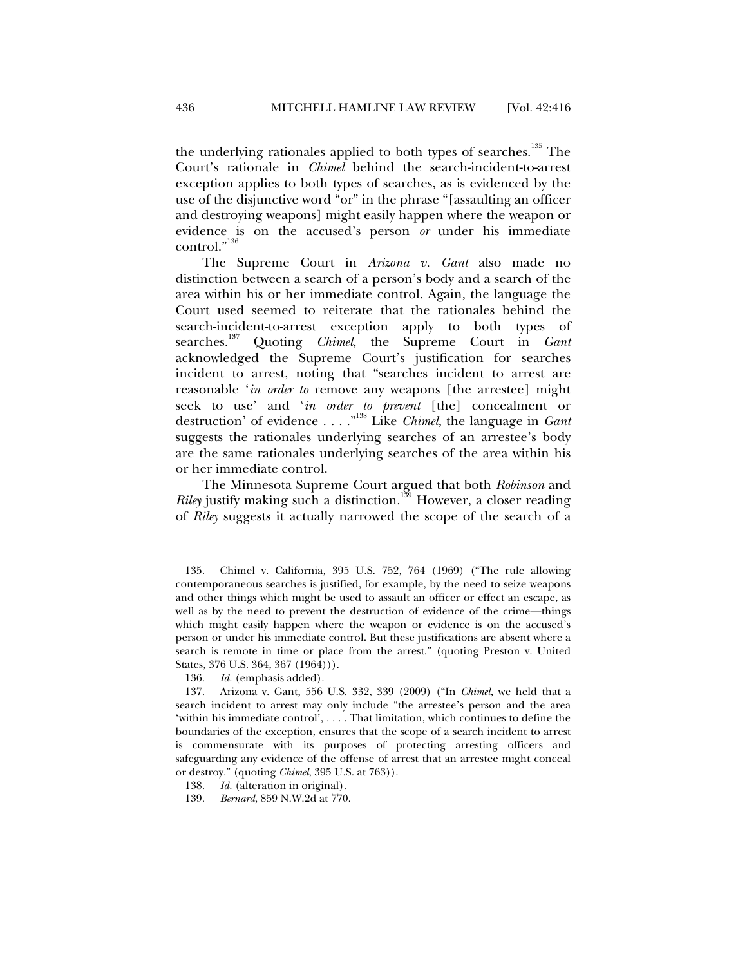the underlying rationales applied to both types of searches.<sup>135</sup> The Court's rationale in *Chimel* behind the search-incident-to-arrest exception applies to both types of searches, as is evidenced by the use of the disjunctive word "or" in the phrase "[assaulting an officer and destroying weapons] might easily happen where the weapon or evidence is on the accused's person *or* under his immediate control."<sup>136</sup>

The Supreme Court in *Arizona v. Gant* also made no distinction between a search of a person's body and a search of the area within his or her immediate control. Again, the language the Court used seemed to reiterate that the rationales behind the search-incident-to-arrest exception apply to both types of searches.137 Quoting *Chimel*, the Supreme Court in *Gant* acknowledged the Supreme Court's justification for searches incident to arrest, noting that "searches incident to arrest are reasonable '*in order to* remove any weapons [the arrestee] might seek to use' and '*in order to prevent* [the] concealment or destruction' of evidence . . . ."138 Like *Chimel*, the language in *Gant* suggests the rationales underlying searches of an arrestee's body are the same rationales underlying searches of the area within his or her immediate control.

The Minnesota Supreme Court argued that both *Robinson* and *Riley* justify making such a distinction.<sup>139</sup> However, a closer reading of *Riley* suggests it actually narrowed the scope of the search of a

 <sup>135.</sup> Chimel v. California, 395 U.S. 752, 764 (1969) ("The rule allowing contemporaneous searches is justified, for example, by the need to seize weapons and other things which might be used to assault an officer or effect an escape, as well as by the need to prevent the destruction of evidence of the crime—things which might easily happen where the weapon or evidence is on the accused's person or under his immediate control. But these justifications are absent where a search is remote in time or place from the arrest." (quoting Preston v. United States, 376 U.S. 364, 367 (1964))).

 <sup>136.</sup> *Id.* (emphasis added).

 <sup>137.</sup> Arizona v. Gant, 556 U.S. 332, 339 (2009) ("In *Chimel,* we held that a search incident to arrest may only include "the arrestee's person and the area 'within his immediate control', . . . . That limitation, which continues to define the boundaries of the exception, ensures that the scope of a search incident to arrest is commensurate with its purposes of protecting arresting officers and safeguarding any evidence of the offense of arrest that an arrestee might conceal or destroy." (quoting *Chimel*, 395 U.S. at 763)).

 <sup>138.</sup> *Id.* (alteration in original).

 <sup>139.</sup> *Bernard*, 859 N.W.2d at 770.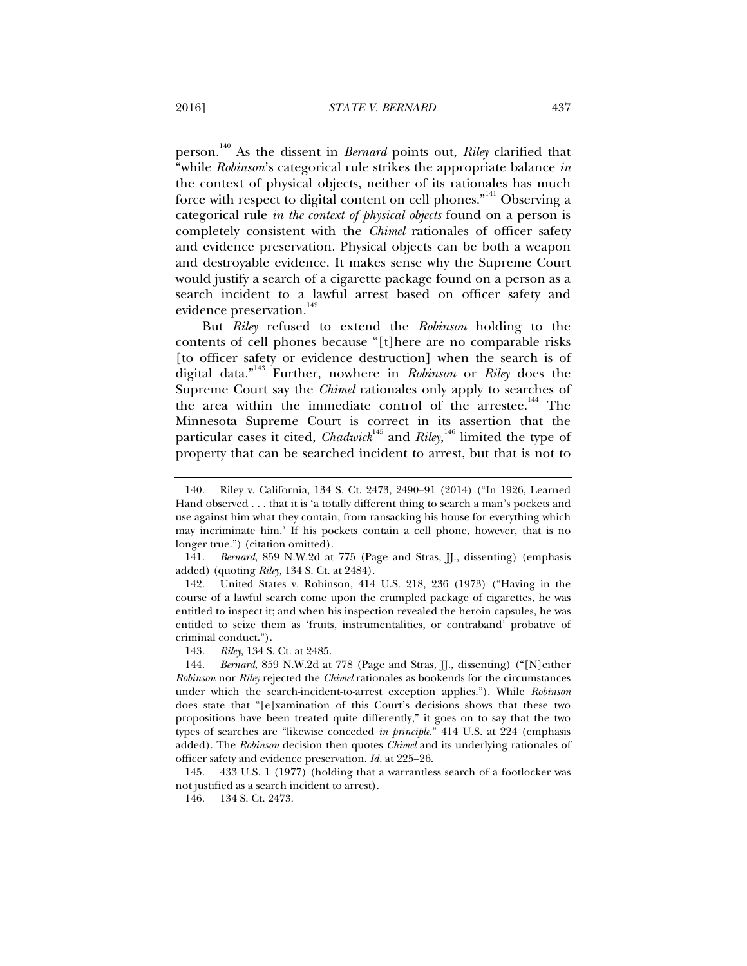person.140 As the dissent in *Bernard* points out, *Riley* clarified that "while *Robinson*'s categorical rule strikes the appropriate balance *in*  the context of physical objects, neither of its rationales has much force with respect to digital content on cell phones."<sup>141</sup> Observing a categorical rule *in the context of physical objects* found on a person is completely consistent with the *Chimel* rationales of officer safety and evidence preservation. Physical objects can be both a weapon and destroyable evidence. It makes sense why the Supreme Court would justify a search of a cigarette package found on a person as a search incident to a lawful arrest based on officer safety and evidence preservation.<sup>142</sup>

But *Riley* refused to extend the *Robinson* holding to the contents of cell phones because "[t]here are no comparable risks [to officer safety or evidence destruction] when the search is of digital data."143 Further, nowhere in *Robinson* or *Riley* does the Supreme Court say the *Chimel* rationales only apply to searches of the area within the immediate control of the arrestee.<sup>144</sup> The Minnesota Supreme Court is correct in its assertion that the particular cases it cited, *Chadwick*<sup>145</sup> and *Rile*y,<sup>146</sup> limited the type of property that can be searched incident to arrest, but that is not to

 141. *Bernard*, 859 N.W.2d at 775 (Page and Stras, JJ., dissenting) (emphasis added) (quoting *Riley*, 134 S. Ct. at 2484).

 142. United States v. Robinson, 414 U.S. 218, 236 (1973) ("Having in the course of a lawful search come upon the crumpled package of cigarettes, he was entitled to inspect it; and when his inspection revealed the heroin capsules, he was entitled to seize them as 'fruits, instrumentalities, or contraband' probative of criminal conduct.").

143. *Riley*, 134 S. Ct. at 2485.

 144. *Bernard*, 859 N.W.2d at 778 (Page and Stras, JJ., dissenting) ("[N]either *Robinson* nor *Riley* rejected the *Chimel* rationales as bookends for the circumstances under which the search-incident-to-arrest exception applies."). While *Robinson* does state that "[e]xamination of this Court's decisions shows that these two propositions have been treated quite differently," it goes on to say that the two types of searches are "likewise conceded *in principle*." 414 U.S. at 224 (emphasis added). The *Robinson* decision then quotes *Chimel* and its underlying rationales of officer safety and evidence preservation. *Id.* at 225–26.

 145. 433 U.S. 1 (1977) (holding that a warrantless search of a footlocker was not justified as a search incident to arrest).

146. 134 S. Ct. 2473.

 <sup>140.</sup> Riley v. California, 134 S. Ct. 2473, 2490–91 (2014) ("In 1926, Learned Hand observed . . . that it is 'a totally different thing to search a man's pockets and use against him what they contain, from ransacking his house for everything which may incriminate him.' If his pockets contain a cell phone, however, that is no longer true.") (citation omitted).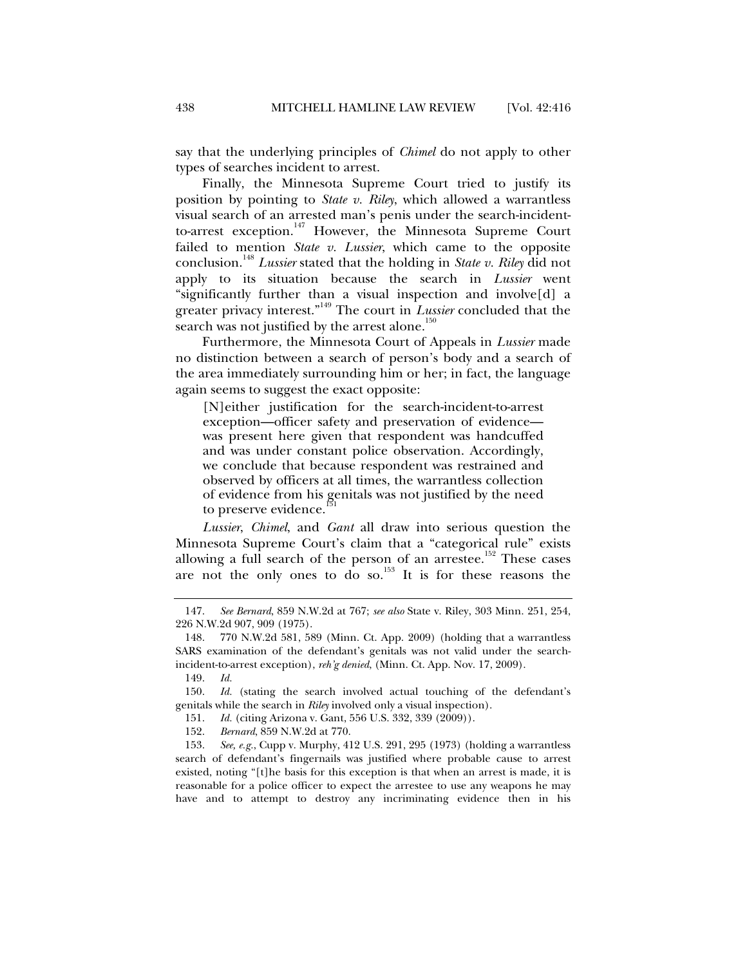say that the underlying principles of *Chimel* do not apply to other types of searches incident to arrest.

Finally, the Minnesota Supreme Court tried to justify its position by pointing to *State v. Riley*, which allowed a warrantless visual search of an arrested man's penis under the search-incidentto-arrest exception.<sup>147</sup> However, the Minnesota Supreme Court failed to mention *State v. Lussier*, which came to the opposite conclusion.<sup>148</sup> *Lussier* stated that the holding in *State v. Riley* did not apply to its situation because the search in *Lussier* went "significantly further than a visual inspection and involve[d] a greater privacy interest."149 The court in *Lussier* concluded that the search was not justified by the arrest alone. $150$ 

Furthermore, the Minnesota Court of Appeals in *Lussier* made no distinction between a search of person's body and a search of the area immediately surrounding him or her; in fact, the language again seems to suggest the exact opposite:

[N]either justification for the search-incident-to-arrest exception—officer safety and preservation of evidence was present here given that respondent was handcuffed and was under constant police observation. Accordingly, we conclude that because respondent was restrained and observed by officers at all times, the warrantless collection of evidence from his genitals was not justified by the need to preserve evidence.

*Lussier*, *Chimel*, and *Gant* all draw into serious question the Minnesota Supreme Court's claim that a "categorical rule" exists allowing a full search of the person of an arrestee.<sup>152</sup> These cases are not the only ones to do so.<sup>153</sup> It is for these reasons the

 <sup>147.</sup> *See Bernard*, 859 N.W.2d at 767; *see also* State v. Riley, 303 Minn. 251, 254, 226 N.W.2d 907, 909 (1975).

 <sup>148. 770</sup> N.W.2d 581, 589 (Minn. Ct. App. 2009) (holding that a warrantless SARS examination of the defendant's genitals was not valid under the searchincident-to-arrest exception), *reh'g denied*, (Minn. Ct. App. Nov. 17, 2009).

 <sup>149.</sup> *Id.*

 <sup>150.</sup> *Id.* (stating the search involved actual touching of the defendant's genitals while the search in *Riley* involved only a visual inspection).

 <sup>151.</sup> *Id.* (citing Arizona v. Gant, 556 U.S. 332, 339 (2009)).

 <sup>152.</sup> *Bernard*, 859 N.W.2d at 770.

 <sup>153.</sup> *See, e.g.*, Cupp v. Murphy, 412 U.S. 291, 295 (1973) (holding a warrantless search of defendant's fingernails was justified where probable cause to arrest existed, noting "[t]he basis for this exception is that when an arrest is made, it is reasonable for a police officer to expect the arrestee to use any weapons he may have and to attempt to destroy any incriminating evidence then in his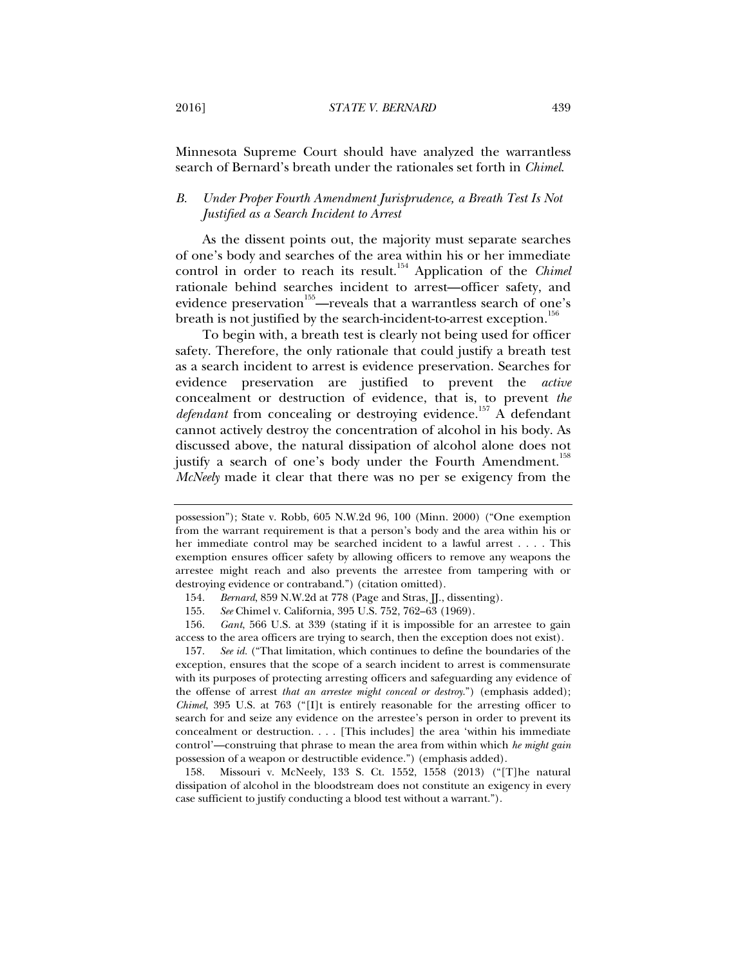Minnesota Supreme Court should have analyzed the warrantless search of Bernard's breath under the rationales set forth in *Chimel*.

# *B. Under Proper Fourth Amendment Jurisprudence, a Breath Test Is Not Justified as a Search Incident to Arrest*

As the dissent points out, the majority must separate searches of one's body and searches of the area within his or her immediate control in order to reach its result.<sup>154</sup> Application of the *Chimel* rationale behind searches incident to arrest—officer safety, and evidence preservation<sup>155</sup>—reveals that a warrantless search of one's breath is not justified by the search-incident-to-arrest exception.<sup>156</sup>

To begin with, a breath test is clearly not being used for officer safety. Therefore, the only rationale that could justify a breath test as a search incident to arrest is evidence preservation. Searches for evidence preservation are justified to prevent the *active* concealment or destruction of evidence, that is, to prevent *the defendant* from concealing or destroying evidence.<sup>157</sup> A defendant cannot actively destroy the concentration of alcohol in his body. As discussed above, the natural dissipation of alcohol alone does not justify a search of one's body under the Fourth Amendment.<sup>158</sup> *McNeely* made it clear that there was no per se exigency from the

 156. *Gant*, 566 U.S. at 339 (stating if it is impossible for an arrestee to gain access to the area officers are trying to search, then the exception does not exist).

 157. *See id.* ("That limitation, which continues to define the boundaries of the exception, ensures that the scope of a search incident to arrest is commensurate with its purposes of protecting arresting officers and safeguarding any evidence of the offense of arrest *that an arrestee might conceal or destroy*.") (emphasis added); *Chimel*, 395 U.S. at 763 ("[I]t is entirely reasonable for the arresting officer to search for and seize any evidence on the arrestee's person in order to prevent its concealment or destruction. . . . [This includes] the area 'within his immediate control'—construing that phrase to mean the area from within which *he might gain*  possession of a weapon or destructible evidence.") (emphasis added).

 158. Missouri v. McNeely, 133 S. Ct. 1552, 1558 (2013) ("[T]he natural dissipation of alcohol in the bloodstream does not constitute an exigency in every case sufficient to justify conducting a blood test without a warrant.").

possession"); State v. Robb, 605 N.W.2d 96, 100 (Minn. 2000) ("One exemption from the warrant requirement is that a person's body and the area within his or her immediate control may be searched incident to a lawful arrest . . . . This exemption ensures officer safety by allowing officers to remove any weapons the arrestee might reach and also prevents the arrestee from tampering with or destroying evidence or contraband.") (citation omitted).

 <sup>154.</sup> *Bernard*, 859 N.W.2d at 778 (Page and Stras, JJ., dissenting).

 <sup>155.</sup> *See* Chimel v. California, 395 U.S. 752, 762–63 (1969).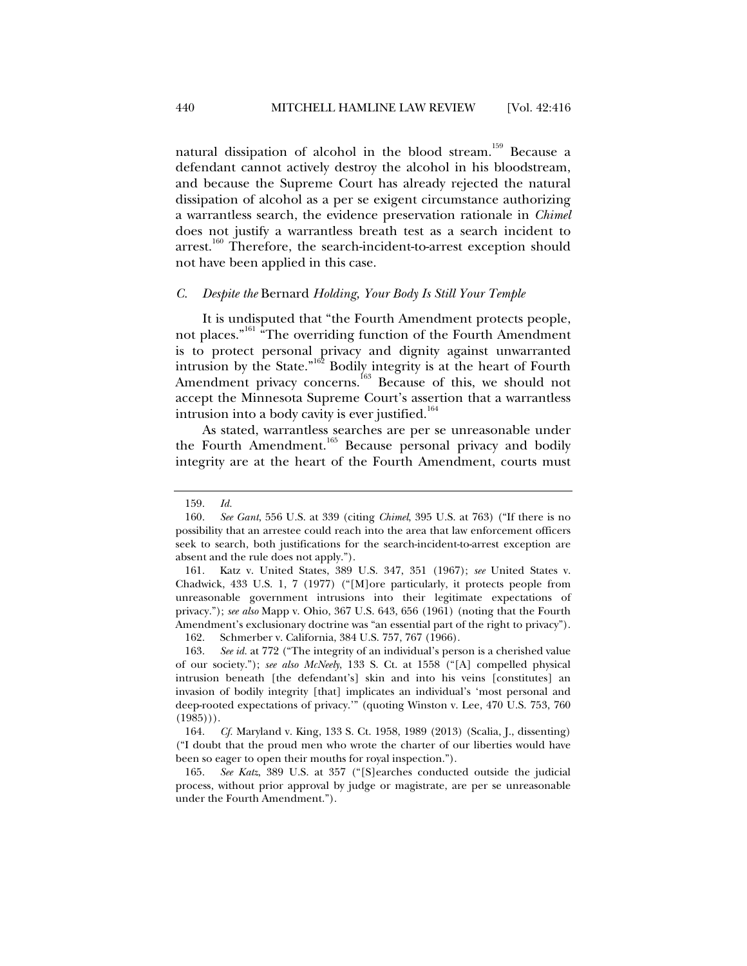natural dissipation of alcohol in the blood stream.<sup>159</sup> Because a defendant cannot actively destroy the alcohol in his bloodstream, and because the Supreme Court has already rejected the natural dissipation of alcohol as a per se exigent circumstance authorizing a warrantless search, the evidence preservation rationale in *Chimel* does not justify a warrantless breath test as a search incident to arrest.<sup>160</sup> Therefore, the search-incident-to-arrest exception should not have been applied in this case.

#### *C. Despite the* Bernard *Holding, Your Body Is Still Your Temple*

It is undisputed that "the Fourth Amendment protects people, not places."161 "The overriding function of the Fourth Amendment is to protect personal privacy and dignity against unwarranted intrusion by the State." $162$  Bodily integrity is at the heart of Fourth Amendment privacy concerns.<sup>163</sup> Because of this, we should not accept the Minnesota Supreme Court's assertion that a warrantless intrusion into a body cavity is ever justified. $164$ 

As stated, warrantless searches are per se unreasonable under the Fourth Amendment.<sup>165</sup> Because personal privacy and bodily integrity are at the heart of the Fourth Amendment, courts must

162. Schmerber v. California, 384 U.S. 757, 767 (1966).

 <sup>159.</sup> *Id.*

 <sup>160.</sup> *See Gant*, 556 U.S. at 339 (citing *Chimel*, 395 U.S. at 763) ("If there is no possibility that an arrestee could reach into the area that law enforcement officers seek to search, both justifications for the search-incident-to-arrest exception are absent and the rule does not apply.").

 <sup>161.</sup> Katz v. United States, 389 U.S. 347, 351 (1967); *see* United States v. Chadwick, 433 U.S. 1, 7 (1977) ("[M]ore particularly, it protects people from unreasonable government intrusions into their legitimate expectations of privacy."); *see also* Mapp v. Ohio, 367 U.S. 643, 656 (1961) (noting that the Fourth Amendment's exclusionary doctrine was "an essential part of the right to privacy").

 <sup>163.</sup> *See id.* at 772 ("The integrity of an individual's person is a cherished value of our society."); *see also McNeely*, 133 S. Ct. at 1558 ("[A] compelled physical intrusion beneath [the defendant's] skin and into his veins [constitutes] an invasion of bodily integrity [that] implicates an individual's 'most personal and deep-rooted expectations of privacy.'" (quoting Winston v. Lee, 470 U.S. 753, 760  $(1985))$ .

 <sup>164.</sup> *Cf.* Maryland v. King, 133 S. Ct. 1958, 1989 (2013) (Scalia, J., dissenting) ("I doubt that the proud men who wrote the charter of our liberties would have been so eager to open their mouths for royal inspection.").

 <sup>165.</sup> *See Katz*, 389 U.S. at 357 ("[S]earches conducted outside the judicial process, without prior approval by judge or magistrate, are per se unreasonable under the Fourth Amendment.").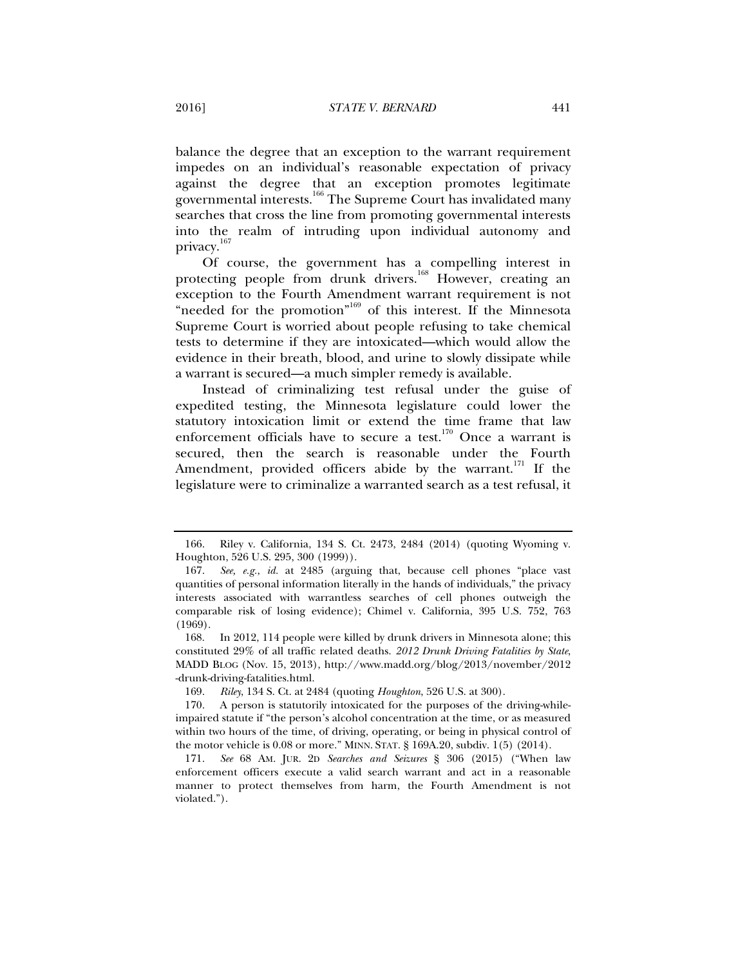balance the degree that an exception to the warrant requirement impedes on an individual's reasonable expectation of privacy against the degree that an exception promotes legitimate governmental interests.166 The Supreme Court has invalidated many searches that cross the line from promoting governmental interests into the realm of intruding upon individual autonomy and privacy.<sup>167</sup>

Of course, the government has a compelling interest in protecting people from drunk drivers.<sup>168</sup> However, creating an exception to the Fourth Amendment warrant requirement is not "needed for the promotion"<sup>169</sup> of this interest. If the Minnesota Supreme Court is worried about people refusing to take chemical tests to determine if they are intoxicated—which would allow the evidence in their breath, blood, and urine to slowly dissipate while a warrant is secured—a much simpler remedy is available.

Instead of criminalizing test refusal under the guise of expedited testing, the Minnesota legislature could lower the statutory intoxication limit or extend the time frame that law enforcement officials have to secure a test.<sup>170</sup> Once a warrant is secured, then the search is reasonable under the Fourth Amendment, provided officers abide by the warrant.<sup>171</sup> If the legislature were to criminalize a warranted search as a test refusal, it

 <sup>166.</sup> Riley v. California, 134 S. Ct. 2473, 2484 (2014) (quoting Wyoming v. Houghton, 526 U.S. 295, 300 (1999)).

 <sup>167.</sup> *See, e.g.*, *id.* at 2485 (arguing that, because cell phones "place vast quantities of personal information literally in the hands of individuals," the privacy interests associated with warrantless searches of cell phones outweigh the comparable risk of losing evidence); Chimel v. California, 395 U.S. 752, 763 (1969).

 <sup>168.</sup> In 2012, 114 people were killed by drunk drivers in Minnesota alone; this constituted 29% of all traffic related deaths. *2012 Drunk Driving Fatalities by State*, MADD BLOG (Nov. 15, 2013), http://www.madd.org/blog/2013/november/2012 -drunk-driving-fatalities.html.

 <sup>169.</sup> *Riley*, 134 S. Ct. at 2484 (quoting *Houghton*, 526 U.S. at 300).

 <sup>170.</sup> A person is statutorily intoxicated for the purposes of the driving-whileimpaired statute if "the person's alcohol concentration at the time, or as measured within two hours of the time, of driving, operating, or being in physical control of the motor vehicle is 0.08 or more." MINN. STAT. § 169A.20, subdiv. 1(5) (2014).

 <sup>171.</sup> *See* 68 AM. JUR. 2D *Searches and Seizures* § 306 (2015) ("When law enforcement officers execute a valid search warrant and act in a reasonable manner to protect themselves from harm, the Fourth Amendment is not violated.").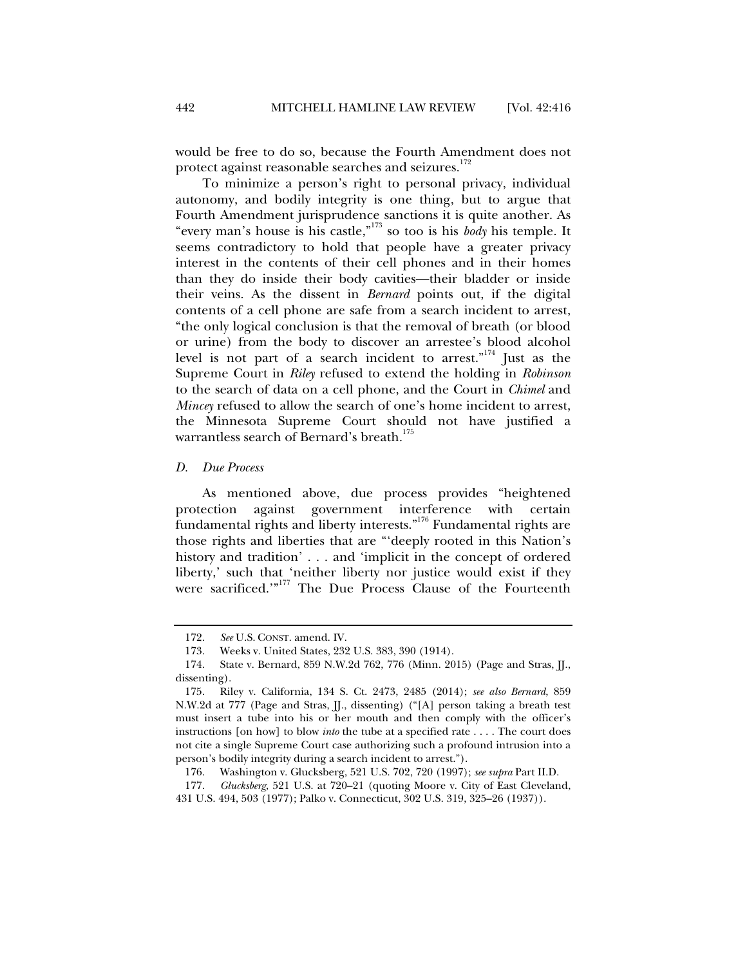would be free to do so, because the Fourth Amendment does not protect against reasonable searches and seizures.<sup>172</sup>

To minimize a person's right to personal privacy, individual autonomy, and bodily integrity is one thing, but to argue that Fourth Amendment jurisprudence sanctions it is quite another. As "every man's house is his castle,"173 so too is his *body* his temple. It seems contradictory to hold that people have a greater privacy interest in the contents of their cell phones and in their homes than they do inside their body cavities—their bladder or inside their veins. As the dissent in *Bernard* points out, if the digital contents of a cell phone are safe from a search incident to arrest, "the only logical conclusion is that the removal of breath (or blood or urine) from the body to discover an arrestee's blood alcohol level is not part of a search incident to arrest."174 Just as the Supreme Court in *Riley* refused to extend the holding in *Robinson* to the search of data on a cell phone, and the Court in *Chimel* and *Mincey* refused to allow the search of one's home incident to arrest, the Minnesota Supreme Court should not have justified a warrantless search of Bernard's breath.<sup>175</sup>

*D. Due Process* 

As mentioned above, due process provides "heightened protection against government interference with certain fundamental rights and liberty interests."176 Fundamental rights are those rights and liberties that are "'deeply rooted in this Nation's history and tradition' . . . and 'implicit in the concept of ordered liberty,' such that 'neither liberty nor justice would exist if they were sacrificed."<sup>177</sup> The Due Process Clause of the Fourteenth

 177. *Glucksberg*, 521 U.S. at 720–21 (quoting Moore v. City of East Cleveland, 431 U.S. 494, 503 (1977); Palko v. Connecticut, 302 U.S. 319, 325–26 (1937)).

 <sup>172.</sup> *See* U.S. CONST. amend. IV.

 <sup>173.</sup> Weeks v. United States, 232 U.S. 383, 390 (1914).

 <sup>174.</sup> State v. Bernard, 859 N.W.2d 762, 776 (Minn. 2015) (Page and Stras, JJ., dissenting).

 <sup>175.</sup> Riley v. California, 134 S. Ct. 2473, 2485 (2014); *see also Bernard*, 859 N.W.2d at 777 (Page and Stras, JJ., dissenting) ("[A] person taking a breath test must insert a tube into his or her mouth and then comply with the officer's instructions [on how] to blow *into* the tube at a specified rate . . . . The court does not cite a single Supreme Court case authorizing such a profound intrusion into a person's bodily integrity during a search incident to arrest.").

 <sup>176.</sup> Washington v. Glucksberg, 521 U.S. 702, 720 (1997); *see supra* Part II.D.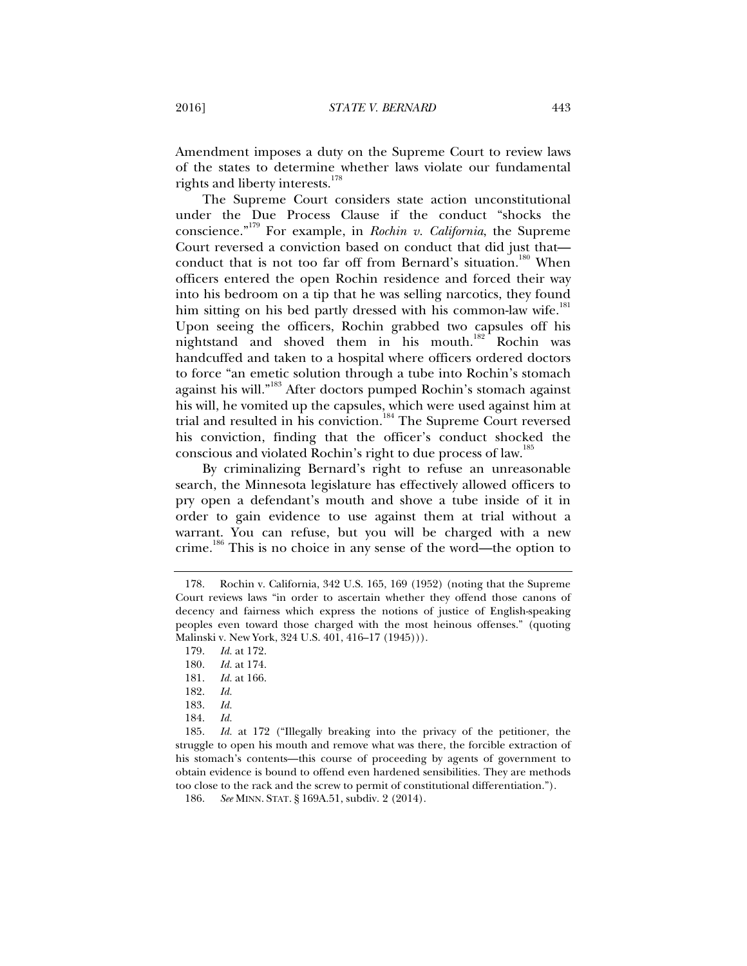Amendment imposes a duty on the Supreme Court to review laws of the states to determine whether laws violate our fundamental rights and liberty interests.<sup>178</sup>

The Supreme Court considers state action unconstitutional under the Due Process Clause if the conduct "shocks the conscience."179 For example, in *Rochin v. California*, the Supreme Court reversed a conviction based on conduct that did just that conduct that is not too far off from Bernard's situation.<sup>180</sup> When officers entered the open Rochin residence and forced their way into his bedroom on a tip that he was selling narcotics, they found him sitting on his bed partly dressed with his common-law wife.<sup>181</sup> Upon seeing the officers, Rochin grabbed two capsules off his nightstand and shoved them in his mouth.<sup>182</sup> Rochin was handcuffed and taken to a hospital where officers ordered doctors to force "an emetic solution through a tube into Rochin's stomach against his will."<sup>183</sup> After doctors pumped Rochin's stomach against his will, he vomited up the capsules, which were used against him at trial and resulted in his conviction.<sup>184</sup> The Supreme Court reversed his conviction, finding that the officer's conduct shocked the conscious and violated Rochin's right to due process of law.<sup>185</sup>

By criminalizing Bernard's right to refuse an unreasonable search, the Minnesota legislature has effectively allowed officers to pry open a defendant's mouth and shove a tube inside of it in order to gain evidence to use against them at trial without a warrant. You can refuse, but you will be charged with a new crime.186 This is no choice in any sense of the word—the option to

 185. *Id.* at 172 ("Illegally breaking into the privacy of the petitioner, the struggle to open his mouth and remove what was there, the forcible extraction of his stomach's contents—this course of proceeding by agents of government to obtain evidence is bound to offend even hardened sensibilities. They are methods too close to the rack and the screw to permit of constitutional differentiation.").

186. *See* MINN. STAT. § 169A.51, subdiv. 2 (2014).

 <sup>178.</sup> Rochin v. California, 342 U.S. 165, 169 (1952) (noting that the Supreme Court reviews laws "in order to ascertain whether they offend those canons of decency and fairness which express the notions of justice of English-speaking peoples even toward those charged with the most heinous offenses." (quoting Malinski v. New York, 324 U.S. 401, 416–17 (1945))).

 <sup>179.</sup> *Id.* at 172.

 <sup>180.</sup> *Id.* at 174.

 <sup>181.</sup> *Id.* at 166.

 <sup>182.</sup> *Id.*

 <sup>183.</sup> *Id.*

 <sup>184.</sup> *Id.*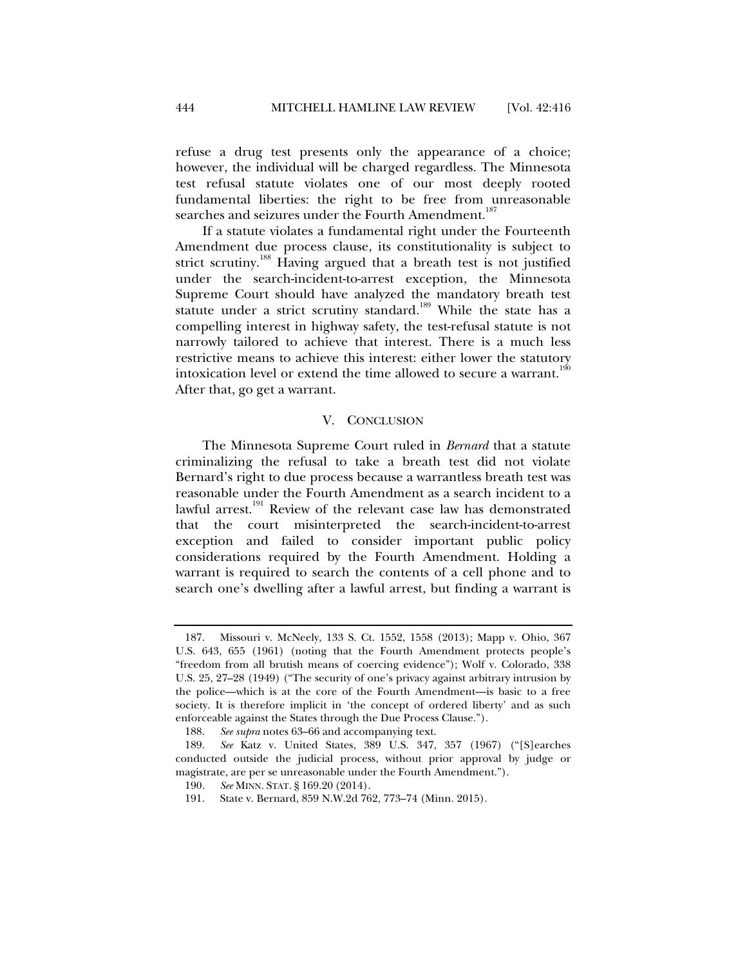refuse a drug test presents only the appearance of a choice; however, the individual will be charged regardless. The Minnesota test refusal statute violates one of our most deeply rooted fundamental liberties: the right to be free from unreasonable searches and seizures under the Fourth Amendment.<sup>187</sup>

If a statute violates a fundamental right under the Fourteenth Amendment due process clause, its constitutionality is subject to strict scrutiny.<sup>188</sup> Having argued that a breath test is not justified under the search-incident-to-arrest exception, the Minnesota Supreme Court should have analyzed the mandatory breath test statute under a strict scrutiny standard.<sup>189</sup> While the state has a compelling interest in highway safety, the test-refusal statute is not narrowly tailored to achieve that interest. There is a much less restrictive means to achieve this interest: either lower the statutory intoxication level or extend the time allowed to secure a warrant.<sup>1</sup> After that, go get a warrant.

#### V. CONCLUSION

The Minnesota Supreme Court ruled in *Bernard* that a statute criminalizing the refusal to take a breath test did not violate Bernard's right to due process because a warrantless breath test was reasonable under the Fourth Amendment as a search incident to a lawful arrest.<sup>191</sup> Review of the relevant case law has demonstrated that the court misinterpreted the search-incident-to-arrest exception and failed to consider important public policy considerations required by the Fourth Amendment. Holding a warrant is required to search the contents of a cell phone and to search one's dwelling after a lawful arrest, but finding a warrant is

 <sup>187.</sup> Missouri v. McNeely, 133 S. Ct. 1552, 1558 (2013); Mapp v. Ohio, 367 U.S. 643, 655 (1961) (noting that the Fourth Amendment protects people's "freedom from all brutish means of coercing evidence"); Wolf v. Colorado, 338 U.S. 25, 27–28 (1949) ("The security of one's privacy against arbitrary intrusion by the police—which is at the core of the Fourth Amendment—is basic to a free society. It is therefore implicit in 'the concept of ordered liberty' and as such enforceable against the States through the Due Process Clause.").

 <sup>188.</sup> *See supra* notes 63–66 and accompanying text.

 <sup>189.</sup> *See* Katz v. United States, 389 U.S. 347, 357 (1967) ("[S]earches conducted outside the judicial process, without prior approval by judge or magistrate, are per se unreasonable under the Fourth Amendment.").

 <sup>190.</sup> *See* MINN. STAT. § 169.20 (2014).

 <sup>191.</sup> State v. Bernard, 859 N.W.2d 762, 773–74 (Minn. 2015).